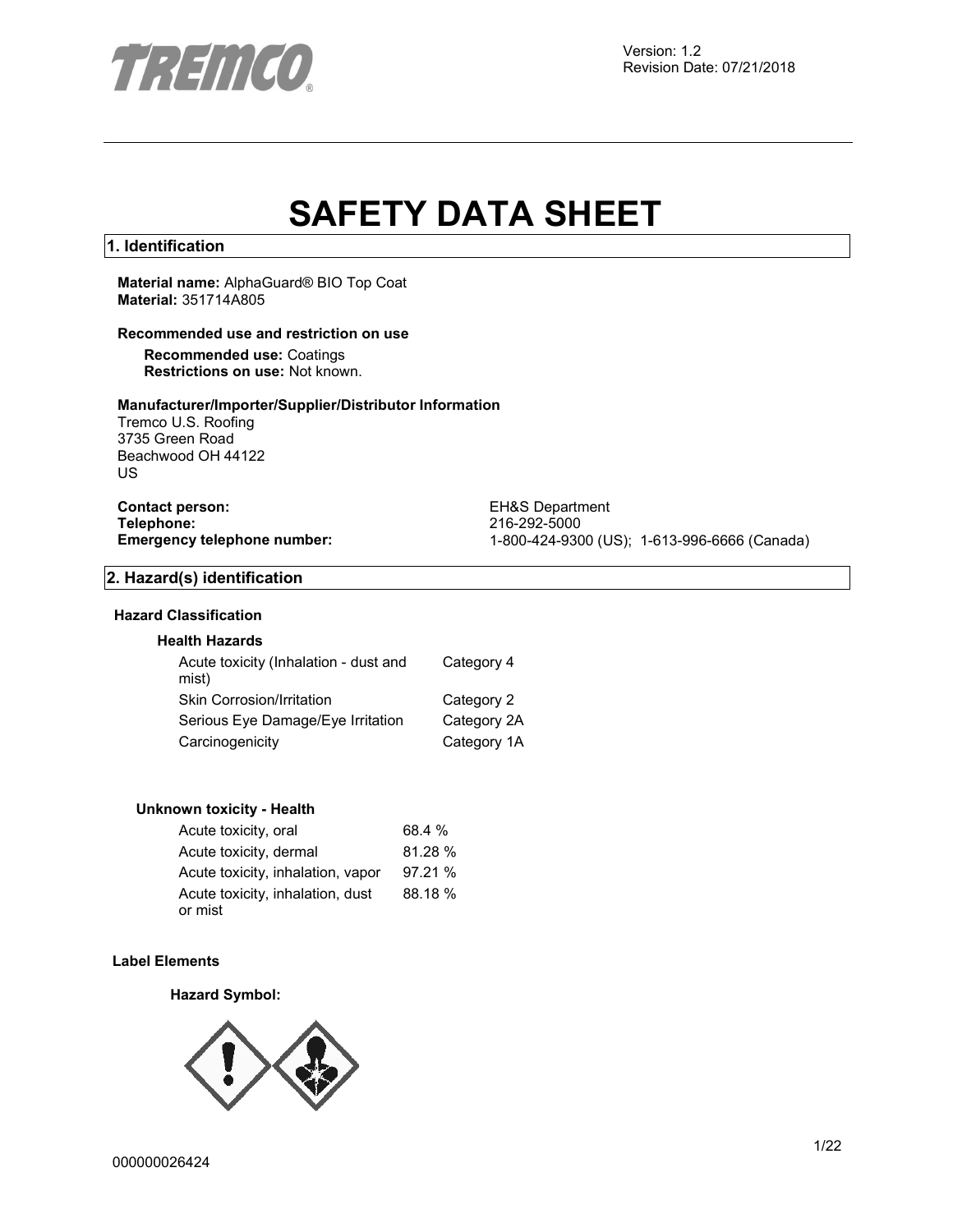

# **SAFETY DATA SHEET**

# **1. Identification**

**Material name:** AlphaGuard® BIO Top Coat **Material:** 351714A805

# **Recommended use and restriction on use**

**Recommended use:** Coatings **Restrictions on use:** Not known.

# **Manufacturer/Importer/Supplier/Distributor Information**

Tremco U.S. Roofing 3735 Green Road Beachwood OH 44122 US

**Contact person:** EH&S Department<br>
Telephone: 216-292-5000 **Telephone:** 216-292-5000

**Emergency telephone number:** 1-800-424-9300 (US); 1-613-996-6666 (Canada)

# **2. Hazard(s) identification**

# **Hazard Classification**

# **Health Hazards**

| Acute toxicity (Inhalation - dust and<br>mist) | Category 4  |
|------------------------------------------------|-------------|
| Skin Corrosion/Irritation                      | Category 2  |
| Serious Eye Damage/Eye Irritation              | Category 2A |
| Carcinogenicity                                | Category 1A |

#### **Unknown toxicity - Health**

| Acute toxicity, oral                        | 68.4 %  |
|---------------------------------------------|---------|
| Acute toxicity, dermal                      | 81.28%  |
| Acute toxicity, inhalation, vapor           | 97.21%  |
| Acute toxicity, inhalation, dust<br>or mist | 88.18 % |

# **Label Elements**

# **Hazard Symbol:**

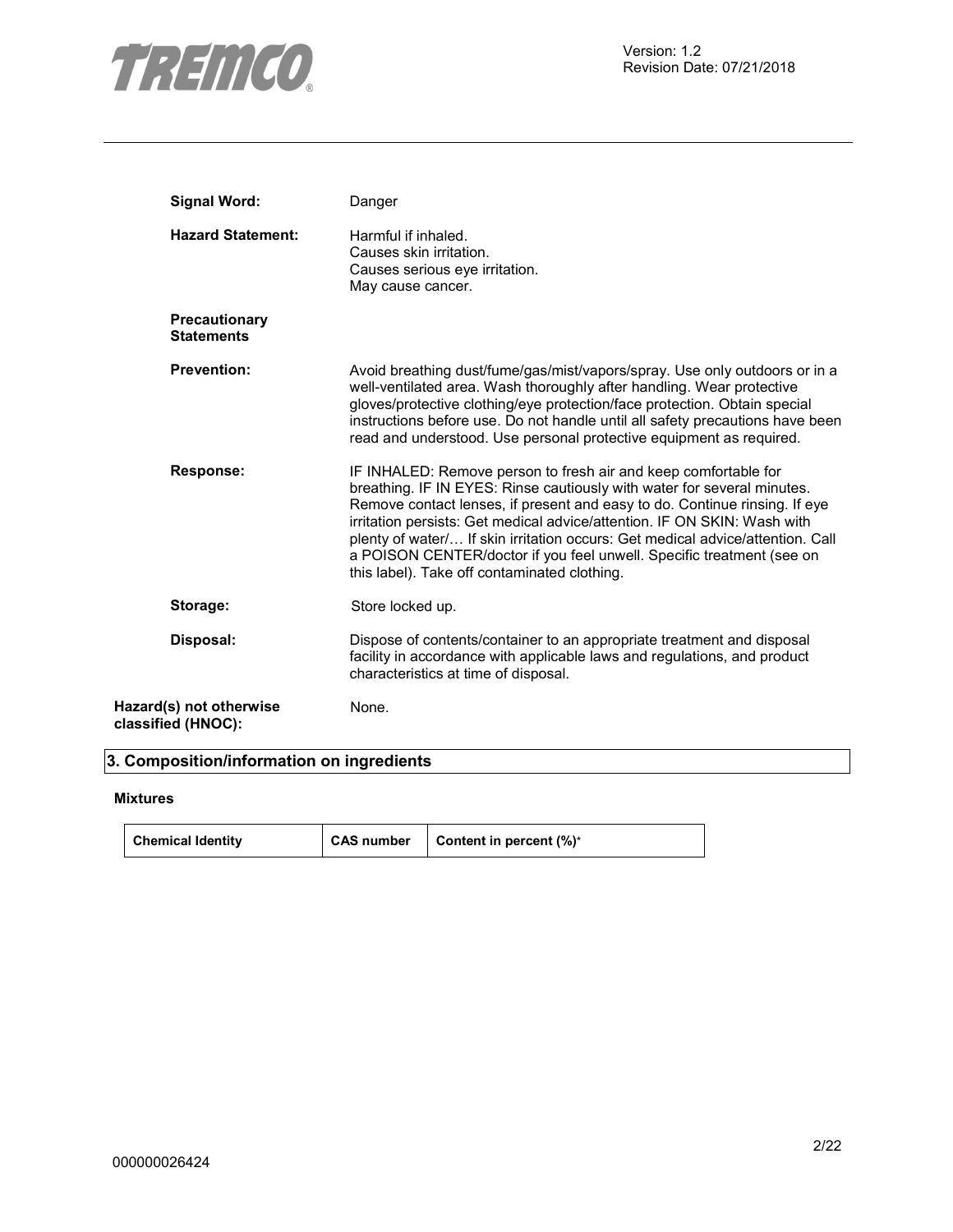

| <b>Signal Word:</b>                           | Danger                                                                                                                                                                                                                                                                                                                                                                                                                                                                                                          |
|-----------------------------------------------|-----------------------------------------------------------------------------------------------------------------------------------------------------------------------------------------------------------------------------------------------------------------------------------------------------------------------------------------------------------------------------------------------------------------------------------------------------------------------------------------------------------------|
| <b>Hazard Statement:</b>                      | Harmful if inhaled.<br>Causes skin irritation.<br>Causes serious eye irritation.<br>May cause cancer.                                                                                                                                                                                                                                                                                                                                                                                                           |
| <b>Precautionary</b><br><b>Statements</b>     |                                                                                                                                                                                                                                                                                                                                                                                                                                                                                                                 |
| <b>Prevention:</b>                            | Avoid breathing dust/fume/gas/mist/vapors/spray. Use only outdoors or in a<br>well-ventilated area. Wash thoroughly after handling. Wear protective<br>gloves/protective clothing/eye protection/face protection. Obtain special<br>instructions before use. Do not handle until all safety precautions have been<br>read and understood. Use personal protective equipment as required.                                                                                                                        |
| <b>Response:</b>                              | IF INHALED: Remove person to fresh air and keep comfortable for<br>breathing. IF IN EYES: Rinse cautiously with water for several minutes.<br>Remove contact lenses, if present and easy to do. Continue rinsing. If eye<br>irritation persists: Get medical advice/attention. IF ON SKIN: Wash with<br>plenty of water/ If skin irritation occurs: Get medical advice/attention. Call<br>a POISON CENTER/doctor if you feel unwell. Specific treatment (see on<br>this label). Take off contaminated clothing. |
| Storage:                                      | Store locked up.                                                                                                                                                                                                                                                                                                                                                                                                                                                                                                |
| Disposal:                                     | Dispose of contents/container to an appropriate treatment and disposal<br>facility in accordance with applicable laws and regulations, and product<br>characteristics at time of disposal.                                                                                                                                                                                                                                                                                                                      |
| Hazard(s) not otherwise<br>classified (HNOC): | None.                                                                                                                                                                                                                                                                                                                                                                                                                                                                                                           |

# **3. Composition/information on ingredients**

# **Mixtures**

| <b>Chemical Identity</b> | CAS number | <b>Content in percent <math>(\%)^*</math></b> |
|--------------------------|------------|-----------------------------------------------|
|--------------------------|------------|-----------------------------------------------|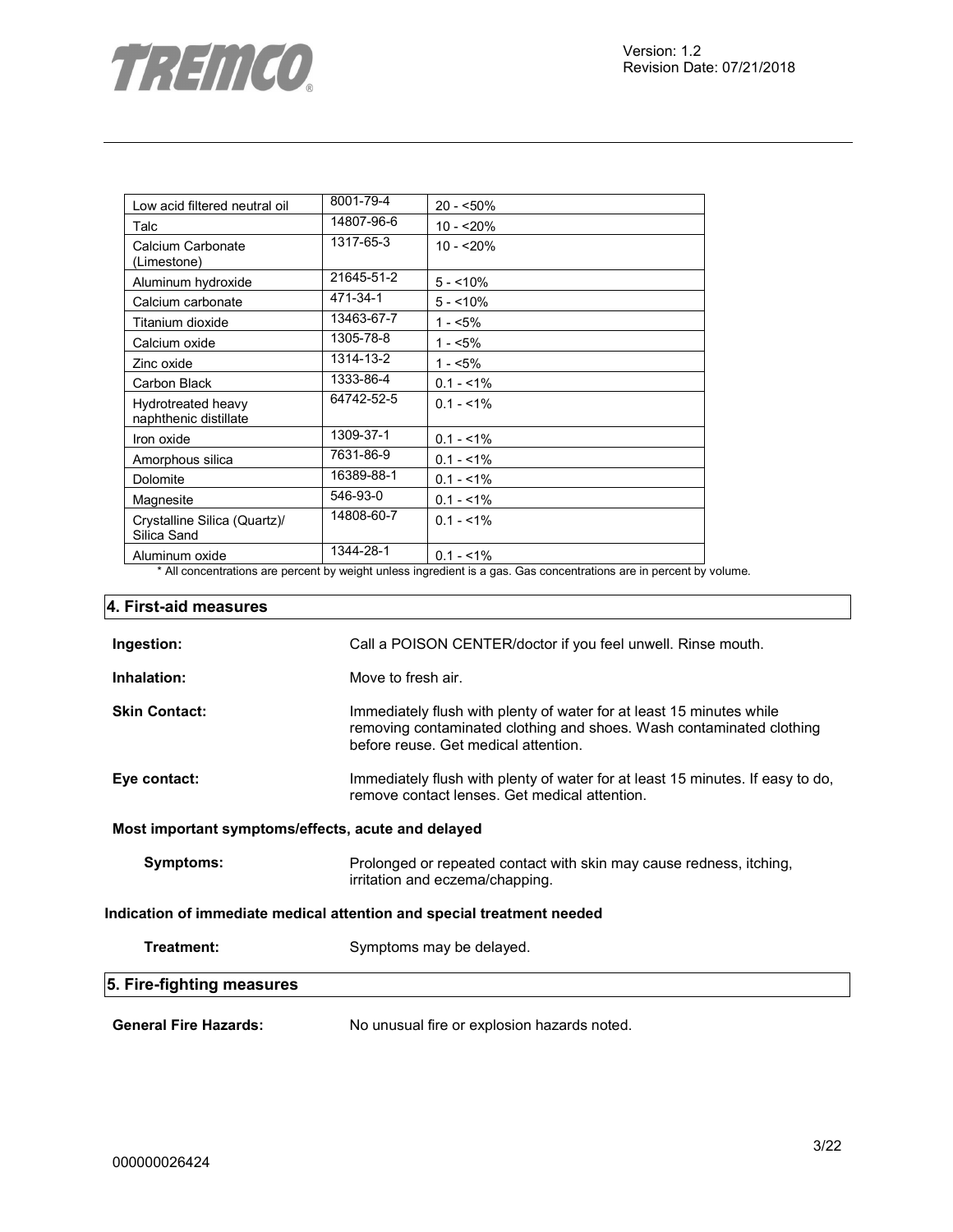

| Low acid filtered neutral oil               | 8001-79-4  | $20 - 50\%$ |
|---------------------------------------------|------------|-------------|
| Talc                                        | 14807-96-6 | $10 - 20%$  |
| Calcium Carbonate<br>(Limestone)            | 1317-65-3  | $10 - 20%$  |
| Aluminum hydroxide                          | 21645-51-2 | $5 - 10\%$  |
| Calcium carbonate                           | 471-34-1   | $5 - 10%$   |
| Titanium dioxide                            | 13463-67-7 | $1 - 5\%$   |
| Calcium oxide                               | 1305-78-8  | $1 - 5\%$   |
| Zinc oxide                                  | 1314-13-2  | $1 - 5\%$   |
| Carbon Black                                | 1333-86-4  | $0.1 - 1\%$ |
| Hydrotreated heavy<br>naphthenic distillate | 64742-52-5 | $0.1 - 1\%$ |
| Iron oxide                                  | 1309-37-1  | $0.1 - 1\%$ |
| Amorphous silica                            | 7631-86-9  | $0.1 - 1\%$ |
| Dolomite                                    | 16389-88-1 | $0.1 - 1\%$ |
| Magnesite                                   | 546-93-0   | $0.1 - 1\%$ |
| Crystalline Silica (Quartz)/<br>Silica Sand | 14808-60-7 | $0.1 - 1\%$ |
| Aluminum oxide                              | 1344-28-1  | $0.1 - 1\%$ |

\* All concentrations are percent by weight unless ingredient is a gas. Gas concentrations are in percent by volume.

| 4. First-aid measures                                                  |                                                                                                                                                                                      |  |  |
|------------------------------------------------------------------------|--------------------------------------------------------------------------------------------------------------------------------------------------------------------------------------|--|--|
| Ingestion:                                                             | Call a POISON CENTER/doctor if you feel unwell. Rinse mouth.                                                                                                                         |  |  |
| Inhalation:                                                            | Move to fresh air.                                                                                                                                                                   |  |  |
| <b>Skin Contact:</b>                                                   | Immediately flush with plenty of water for at least 15 minutes while<br>removing contaminated clothing and shoes. Wash contaminated clothing<br>before reuse. Get medical attention. |  |  |
| Eye contact:                                                           | Immediately flush with plenty of water for at least 15 minutes. If easy to do,<br>remove contact lenses. Get medical attention.                                                      |  |  |
| Most important symptoms/effects, acute and delayed                     |                                                                                                                                                                                      |  |  |
| Symptoms:                                                              | Prolonged or repeated contact with skin may cause redness, itching,<br>irritation and eczema/chapping.                                                                               |  |  |
| Indication of immediate medical attention and special treatment needed |                                                                                                                                                                                      |  |  |
| Treatment:                                                             | Symptoms may be delayed.                                                                                                                                                             |  |  |
| 5. Fire-fighting measures                                              |                                                                                                                                                                                      |  |  |
| <b>General Fire Hazards:</b>                                           | No unusual fire or explosion hazards noted.                                                                                                                                          |  |  |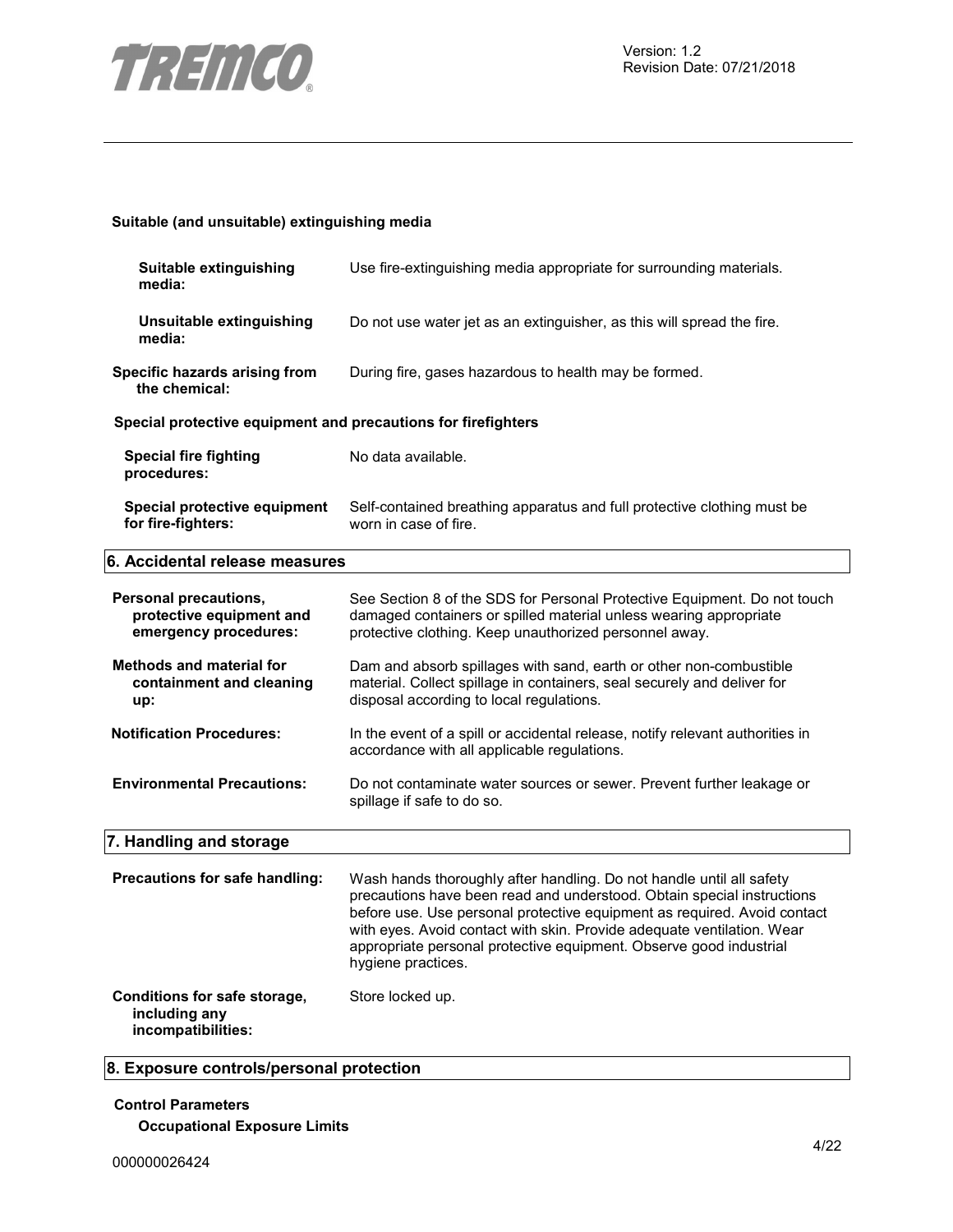

# **Suitable (and unsuitable) extinguishing media**

| Suitable extinguishing<br>media:                                           | Use fire-extinguishing media appropriate for surrounding materials.                                                                                                                                                                                                                                                                                                                              |
|----------------------------------------------------------------------------|--------------------------------------------------------------------------------------------------------------------------------------------------------------------------------------------------------------------------------------------------------------------------------------------------------------------------------------------------------------------------------------------------|
| Unsuitable extinguishing<br>media:                                         | Do not use water jet as an extinguisher, as this will spread the fire.                                                                                                                                                                                                                                                                                                                           |
| Specific hazards arising from<br>the chemical:                             | During fire, gases hazardous to health may be formed.                                                                                                                                                                                                                                                                                                                                            |
| Special protective equipment and precautions for firefighters              |                                                                                                                                                                                                                                                                                                                                                                                                  |
| <b>Special fire fighting</b><br>procedures:                                | No data available.                                                                                                                                                                                                                                                                                                                                                                               |
| Special protective equipment<br>for fire-fighters:                         | Self-contained breathing apparatus and full protective clothing must be<br>worn in case of fire.                                                                                                                                                                                                                                                                                                 |
| 6. Accidental release measures                                             |                                                                                                                                                                                                                                                                                                                                                                                                  |
| Personal precautions,<br>protective equipment and<br>emergency procedures: | See Section 8 of the SDS for Personal Protective Equipment. Do not touch<br>damaged containers or spilled material unless wearing appropriate<br>protective clothing. Keep unauthorized personnel away.                                                                                                                                                                                          |
| <b>Methods and material for</b><br>containment and cleaning<br>up:         | Dam and absorb spillages with sand, earth or other non-combustible<br>material. Collect spillage in containers, seal securely and deliver for<br>disposal according to local regulations.                                                                                                                                                                                                        |
| <b>Notification Procedures:</b>                                            | In the event of a spill or accidental release, notify relevant authorities in<br>accordance with all applicable regulations.                                                                                                                                                                                                                                                                     |
| <b>Environmental Precautions:</b>                                          | Do not contaminate water sources or sewer. Prevent further leakage or<br>spillage if safe to do so.                                                                                                                                                                                                                                                                                              |
| 7. Handling and storage                                                    |                                                                                                                                                                                                                                                                                                                                                                                                  |
| Precautions for safe handling:                                             | Wash hands thoroughly after handling. Do not handle until all safety<br>precautions have been read and understood. Obtain special instructions<br>before use. Use personal protective equipment as required. Avoid contact<br>with eyes. Avoid contact with skin. Provide adequate ventilation. Wear<br>appropriate personal protective equipment. Observe good industrial<br>hygiene practices. |
| Conditions for safe storage,<br>including any<br>incompatibilities:        | Store locked up.                                                                                                                                                                                                                                                                                                                                                                                 |

# **8. Exposure controls/personal protection**

# **Control Parameters Occupational Exposure Limits**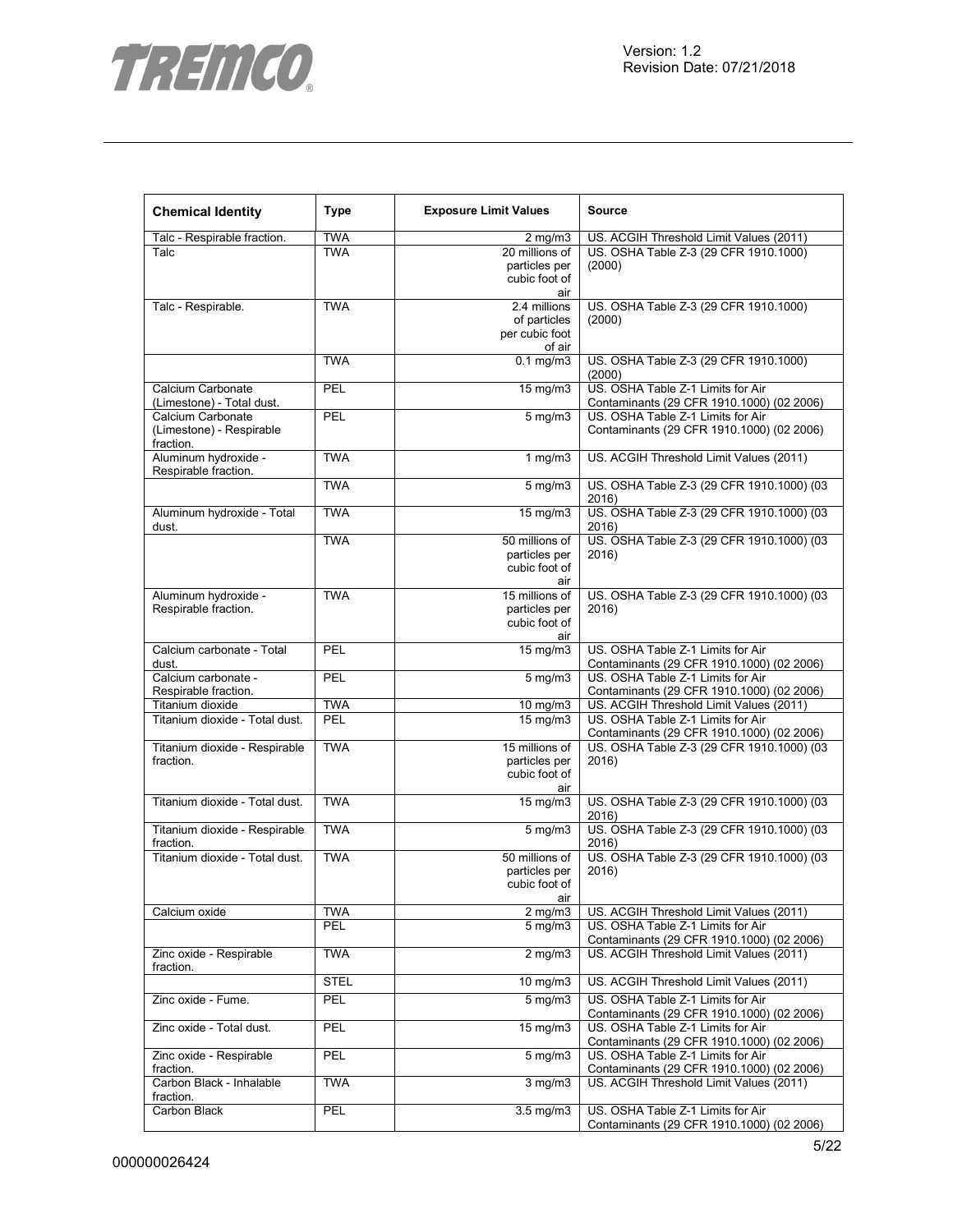

| <b>Chemical Identity</b>                   | <b>Type</b> | <b>Exposure Limit Values</b>  | <b>Source</b>                                                                  |
|--------------------------------------------|-------------|-------------------------------|--------------------------------------------------------------------------------|
| Talc - Respirable fraction.                | <b>TWA</b>  | $2$ mg/m $3$                  | US. ACGIH Threshold Limit Values (2011)                                        |
| Talc                                       | <b>TWA</b>  | 20 millions of                | US. OSHA Table Z-3 (29 CFR 1910.1000)                                          |
|                                            |             | particles per                 | (2000)                                                                         |
|                                            |             | cubic foot of                 |                                                                                |
|                                            |             | air                           |                                                                                |
| Talc - Respirable.                         | <b>TWA</b>  | 2.4 millions                  | US. OSHA Table Z-3 (29 CFR 1910.1000)                                          |
|                                            |             | of particles                  | (2000)                                                                         |
|                                            |             | per cubic foot                |                                                                                |
|                                            | <b>TWA</b>  | of air<br>$0.1$ mg/m $3$      | US. OSHA Table Z-3 (29 CFR 1910.1000)                                          |
|                                            |             |                               | (2000)                                                                         |
| Calcium Carbonate                          | <b>PEL</b>  | 15 mg/m3                      | US. OSHA Table Z-1 Limits for Air                                              |
| (Limestone) - Total dust.                  |             |                               | Contaminants (29 CFR 1910.1000) (02 2006)                                      |
| Calcium Carbonate                          | <b>PEL</b>  | $5 \text{ mg/m}$              | US. OSHA Table Z-1 Limits for Air                                              |
| (Limestone) - Respirable                   |             |                               | Contaminants (29 CFR 1910.1000) (02 2006)                                      |
| fraction.                                  |             |                               |                                                                                |
| Aluminum hydroxide -                       | <b>TWA</b>  | $1$ mg/m $3$                  | US. ACGIH Threshold Limit Values (2011)                                        |
| Respirable fraction.                       |             |                               |                                                                                |
|                                            | <b>TWA</b>  | $5$ mg/m $3$                  | US. OSHA Table Z-3 (29 CFR 1910.1000) (03                                      |
|                                            |             |                               | 2016)                                                                          |
| Aluminum hydroxide - Total                 | <b>TWA</b>  | 15 mg/m3                      | US. OSHA Table Z-3 (29 CFR 1910.1000) (03                                      |
| dust.                                      |             | 50 millions of                | 2016)                                                                          |
|                                            | <b>TWA</b>  | particles per                 | US. OSHA Table Z-3 (29 CFR 1910.1000) (03<br>2016)                             |
|                                            |             | cubic foot of                 |                                                                                |
|                                            |             | air                           |                                                                                |
| Aluminum hydroxide -                       | <b>TWA</b>  | 15 millions of                | US. OSHA Table Z-3 (29 CFR 1910.1000) (03                                      |
| Respirable fraction.                       |             | particles per                 | 2016)                                                                          |
|                                            |             | cubic foot of                 |                                                                                |
|                                            |             | air                           |                                                                                |
| Calcium carbonate - Total                  | PEL         | 15 mg/m3                      | US. OSHA Table Z-1 Limits for Air                                              |
| dust.                                      |             |                               | Contaminants (29 CFR 1910.1000) (02 2006)                                      |
| Calcium carbonate -                        | PEL         | $5 \text{ mg/m}$              | US. OSHA Table Z-1 Limits for Air                                              |
| Respirable fraction.                       |             |                               | Contaminants (29 CFR 1910.1000) (02 2006)                                      |
| Titanium dioxide                           | <b>TWA</b>  | $10 \text{ mg/m}$             | US. ACGIH Threshold Limit Values (2011)                                        |
| Titanium dioxide - Total dust.             | <b>PEL</b>  | 15 mg/m3                      | US. OSHA Table Z-1 Limits for Air                                              |
|                                            | <b>TWA</b>  | 15 millions of                | Contaminants (29 CFR 1910.1000) (02 2006)                                      |
| Titanium dioxide - Respirable<br>fraction. |             | particles per                 | US. OSHA Table Z-3 (29 CFR 1910.1000) (03<br>2016)                             |
|                                            |             | cubic foot of                 |                                                                                |
|                                            |             | air                           |                                                                                |
| Titanium dioxide - Total dust.             | <b>TWA</b>  | 15 mg/m3                      | US. OSHA Table Z-3 (29 CFR 1910.1000) (03                                      |
|                                            |             |                               | 2016)                                                                          |
| Titanium dioxide - Respirable              | <b>TWA</b>  | $5$ mg/m $3$                  | US. OSHA Table Z-3 (29 CFR 1910.1000) (03                                      |
| fraction.                                  |             |                               | 2016)                                                                          |
| Titanium dioxide - Total dust.             | <b>TWA</b>  | 50 millions of                | US. OSHA Table Z-3 (29 CFR 1910.1000) (03                                      |
|                                            |             | particles per                 | 2016)                                                                          |
|                                            |             | cubic foot of                 |                                                                                |
|                                            |             | air                           |                                                                                |
| Calcium oxide                              | <b>TWA</b>  | $2 \text{ mg/m}$              | US. ACGIH Threshold Limit Values (2011)                                        |
|                                            | PEL         | $5 \overline{\mathrm{mg}}$ m3 | US. OSHA Table Z-1 Limits for Air<br>Contaminants (29 CFR 1910.1000) (02 2006) |
| Zinc oxide - Respirable                    | <b>TWA</b>  | $2$ mg/m $3$                  | US. ACGIH Threshold Limit Values (2011)                                        |
| fraction.                                  |             |                               |                                                                                |
|                                            | <b>STEL</b> | 10 mg/m3                      | US. ACGIH Threshold Limit Values (2011)                                        |
| Zinc oxide - Fume.                         | PEL         | $5$ mg/m $3$                  | US. OSHA Table Z-1 Limits for Air                                              |
|                                            |             |                               | Contaminants (29 CFR 1910.1000) (02 2006)                                      |
| Zinc oxide - Total dust.                   | PEL         | $15 \text{ mg/m}$             | US. OSHA Table Z-1 Limits for Air                                              |
|                                            |             |                               | Contaminants (29 CFR 1910.1000) (02 2006)                                      |
| Zinc oxide - Respirable                    | PEL         | $5$ mg/m $3$                  | US. OSHA Table Z-1 Limits for Air                                              |
| fraction.                                  |             |                               | Contaminants (29 CFR 1910.1000) (02 2006)                                      |
| Carbon Black - Inhalable                   | TWA         | $3 \overline{\text{mg}}$ m3   | US. ACGIH Threshold Limit Values (2011)                                        |
| fraction.                                  |             |                               |                                                                                |
| Carbon Black                               | PEL         | $3.5$ mg/m $3$                | US. OSHA Table Z-1 Limits for Air                                              |
|                                            |             |                               | Contaminants (29 CFR 1910.1000) (02 2006)                                      |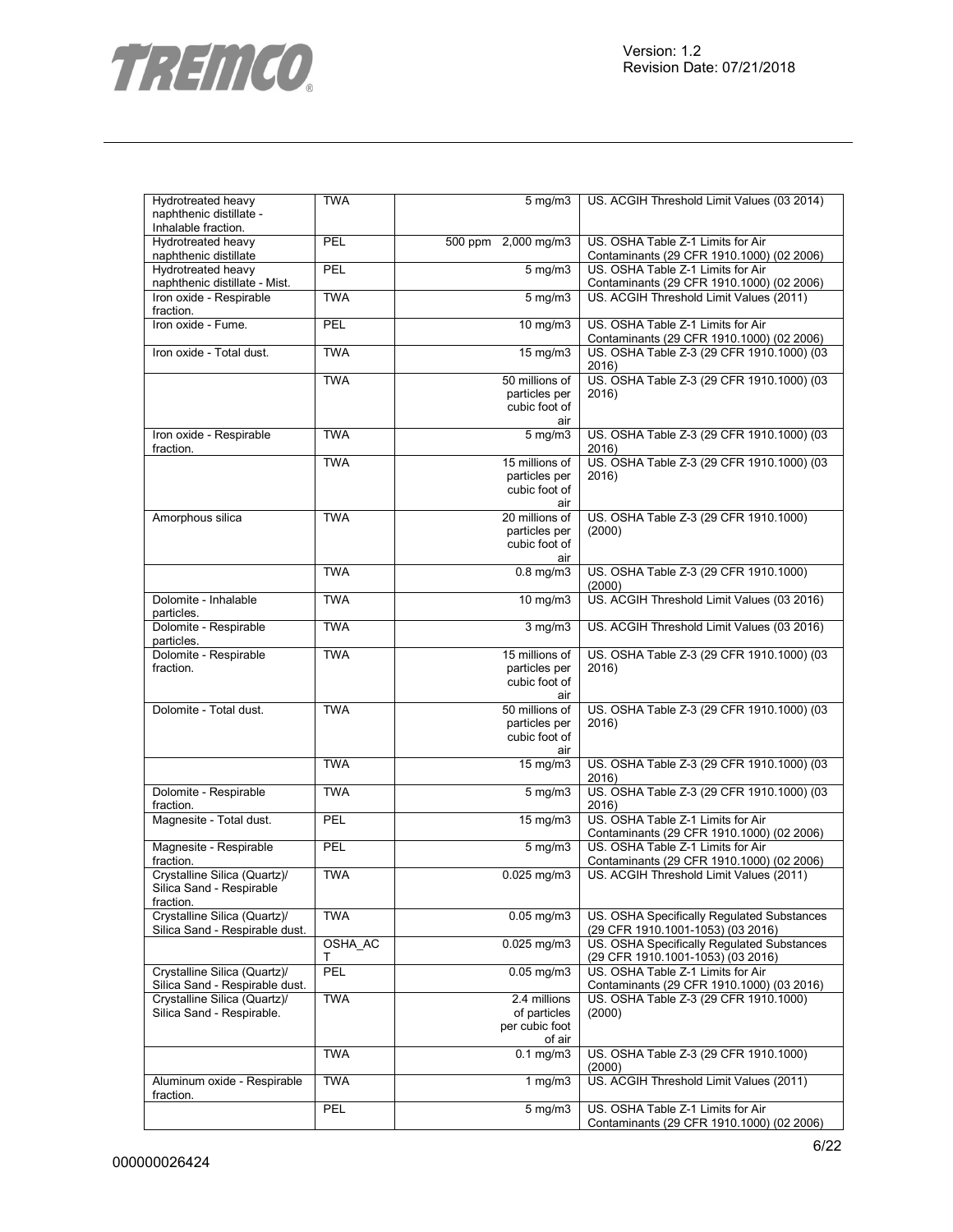

| Hydrotreated heavy                          | <b>TWA</b> | $5 \text{ mg/m}$                | US. ACGIH Threshold Limit Values (03 2014)                                           |
|---------------------------------------------|------------|---------------------------------|--------------------------------------------------------------------------------------|
| naphthenic distillate -                     |            |                                 |                                                                                      |
| Inhalable fraction.                         | PEL        | 500 ppm 2,000 mg/m3             |                                                                                      |
| Hydrotreated heavy<br>naphthenic distillate |            |                                 | US. OSHA Table Z-1 Limits for Air<br>Contaminants (29 CFR 1910.1000) (02 2006)       |
| Hydrotreated heavy                          | <b>PEL</b> | $5$ mg/m $3$                    | US. OSHA Table Z-1 Limits for Air                                                    |
| naphthenic distillate - Mist.               |            |                                 | Contaminants (29 CFR 1910.1000) (02 2006)                                            |
| Iron oxide - Respirable                     | <b>TWA</b> | $5$ mg/m $3$                    | US. ACGIH Threshold Limit Values (2011)                                              |
| fraction.                                   |            |                                 |                                                                                      |
| Iron oxide - Fume.                          | PEL        | 10 mg/m3                        | US. OSHA Table Z-1 Limits for Air                                                    |
|                                             |            |                                 | Contaminants (29 CFR 1910.1000) (02 2006)                                            |
| Iron oxide - Total dust.                    | <b>TWA</b> | 15 mg/m3                        | US. OSHA Table Z-3 (29 CFR 1910.1000) (03                                            |
|                                             |            |                                 | 2016)                                                                                |
|                                             | <b>TWA</b> | 50 millions of                  | US. OSHA Table Z-3 (29 CFR 1910.1000) (03                                            |
|                                             |            | particles per<br>cubic foot of  | 2016)                                                                                |
|                                             |            | air                             |                                                                                      |
| Iron oxide - Respirable                     | <b>TWA</b> | $5$ mg/m $3$                    | US. OSHA Table Z-3 (29 CFR 1910.1000) (03                                            |
| fraction.                                   |            |                                 | 2016)                                                                                |
|                                             | <b>TWA</b> | 15 millions of                  | US. OSHA Table Z-3 (29 CFR 1910.1000) (03                                            |
|                                             |            | particles per                   | 2016)                                                                                |
|                                             |            | cubic foot of                   |                                                                                      |
|                                             |            | air                             |                                                                                      |
| Amorphous silica                            | <b>TWA</b> | 20 millions of                  | US. OSHA Table Z-3 (29 CFR 1910.1000)                                                |
|                                             |            | particles per                   | (2000)                                                                               |
|                                             |            | cubic foot of<br>air            |                                                                                      |
|                                             | <b>TWA</b> | $0.8$ mg/m $3$                  | US. OSHA Table Z-3 (29 CFR 1910.1000)                                                |
|                                             |            |                                 | (2000)                                                                               |
| Dolomite - Inhalable                        | <b>TWA</b> | $10$ mg/m $3$                   | US. ACGIH Threshold Limit Values (03 2016)                                           |
| particles.                                  |            |                                 |                                                                                      |
| Dolomite - Respirable                       | <b>TWA</b> | $\overline{3}$ mg/m $3$         | US. ACGIH Threshold Limit Values (03 2016)                                           |
| particles.                                  |            |                                 |                                                                                      |
| Dolomite - Respirable                       | <b>TWA</b> | 15 millions of                  | US. OSHA Table Z-3 (29 CFR 1910.1000) (03                                            |
| fraction.                                   |            | particles per                   | 2016)                                                                                |
|                                             |            | cubic foot of                   |                                                                                      |
|                                             |            | air                             |                                                                                      |
| Dolomite - Total dust.                      | <b>TWA</b> | 50 millions of<br>particles per | US. OSHA Table Z-3 (29 CFR 1910.1000) (03<br>2016)                                   |
|                                             |            | cubic foot of                   |                                                                                      |
|                                             |            | air                             |                                                                                      |
|                                             | <b>TWA</b> | 15 mg/m3                        | US. OSHA Table Z-3 (29 CFR 1910.1000) (03                                            |
|                                             |            |                                 | 2016)                                                                                |
| Dolomite - Respirable                       | <b>TWA</b> | $5$ mg/m $3$                    | US. OSHA Table Z-3 (29 CFR 1910.1000) (03                                            |
| fraction.                                   |            |                                 | 2016)                                                                                |
| Magnesite - Total dust.                     | PEL        | $15 \text{ mg/m}$               | US. OSHA Table Z-1 Limits for Air                                                    |
|                                             |            |                                 | Contaminants (29 CFR 1910.1000) (02 2006)                                            |
| Magnesite - Respirable                      | PEL        | $\overline{5}$ mg/m3            | US. OSHA Table Z-1 Limits for Air                                                    |
| fraction.<br>Crystalline Silica (Quartz)/   | <b>TWA</b> | $0.025$ mg/m $3$                | Contaminants (29 CFR 1910.1000) (02 2006)<br>US. ACGIH Threshold Limit Values (2011) |
| Silica Sand - Respirable                    |            |                                 |                                                                                      |
| fraction.                                   |            |                                 |                                                                                      |
| Crystalline Silica (Quartz)/                | <b>TWA</b> | $0.05$ mg/m $3$                 | US. OSHA Specifically Requlated Substances                                           |
| Silica Sand - Respirable dust.              |            |                                 | (29 CFR 1910.1001-1053) (03 2016)                                                    |
|                                             | OSHA_AC    | $0.025$ mg/m $3$                | US. OSHA Specifically Regulated Substances                                           |
|                                             | т          |                                 | (29 CFR 1910.1001-1053) (03 2016)                                                    |
| Crystalline Silica (Quartz)/                | PEL        | $0.05$ mg/m $3$                 | US. OSHA Table Z-1 Limits for Air                                                    |
| Silica Sand - Respirable dust.              |            |                                 | Contaminants (29 CFR 1910.1000) (03 2016)                                            |
| Crystalline Silica (Quartz)/                | <b>TWA</b> | 2.4 millions                    | US. OSHA Table Z-3 (29 CFR 1910.1000)                                                |
| Silica Sand - Respirable.                   |            | of particles                    | (2000)                                                                               |
|                                             |            | per cubic foot<br>of air        |                                                                                      |
|                                             | <b>TWA</b> | $0.1 \,\mathrm{mg/m}$           | US. OSHA Table Z-3 (29 CFR 1910.1000)                                                |
|                                             |            |                                 | (2000)                                                                               |
| Aluminum oxide - Respirable                 | <b>TWA</b> | $1 \overline{\text{mg}}$ m3     | US. ACGIH Threshold Limit Values (2011)                                              |
| fraction.                                   |            |                                 |                                                                                      |
|                                             | PEL        | 5 mg/m3                         | US. OSHA Table Z-1 Limits for Air                                                    |
|                                             |            |                                 | Contaminants (29 CFR 1910.1000) (02 2006)                                            |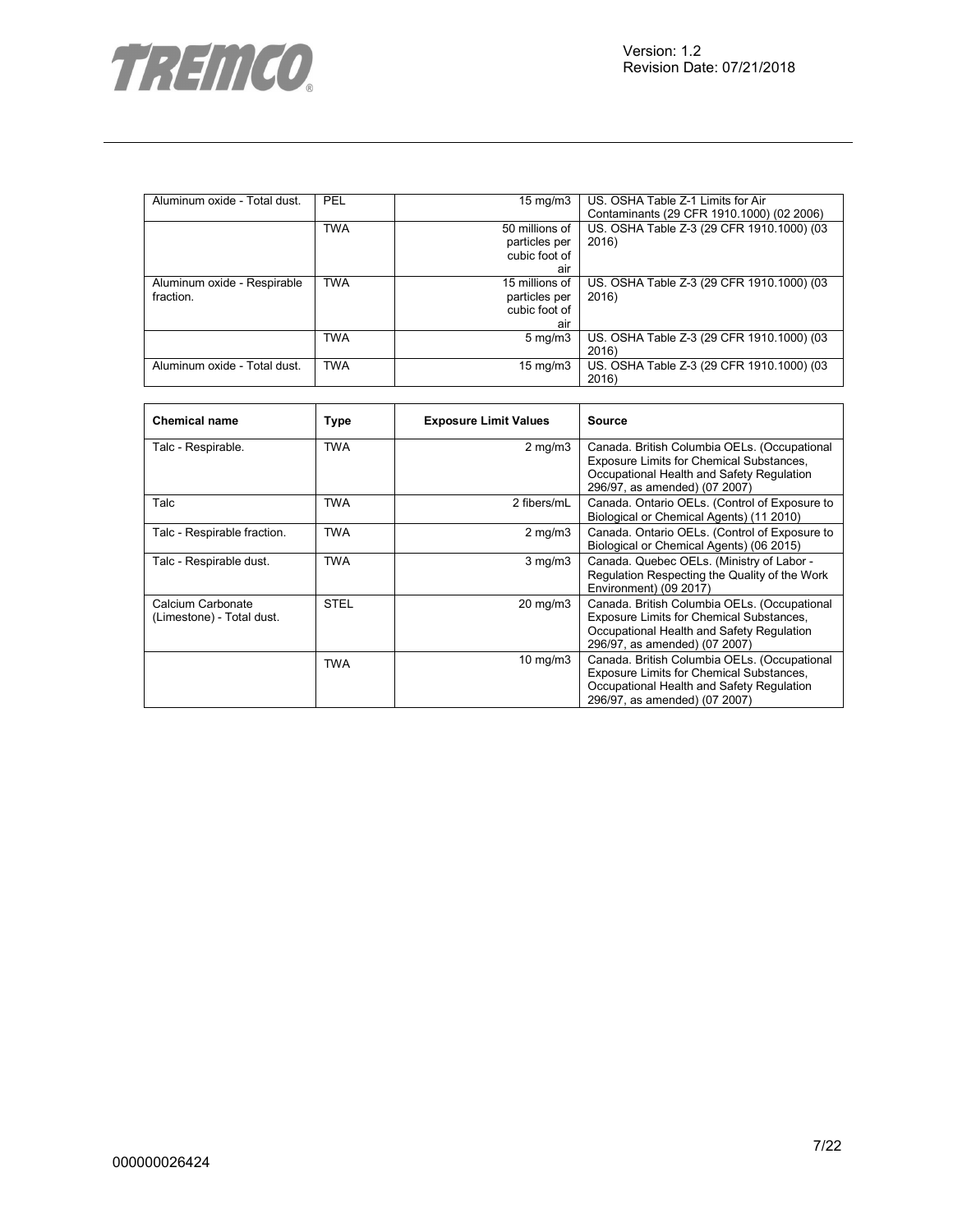

| Aluminum oxide - Total dust. | PEL        | $15 \text{ mg/m}$ | US. OSHA Table Z-1 Limits for Air         |
|------------------------------|------------|-------------------|-------------------------------------------|
|                              |            |                   | Contaminants (29 CFR 1910.1000) (02 2006) |
|                              | <b>TWA</b> | 50 millions of    | US. OSHA Table Z-3 (29 CFR 1910.1000) (03 |
|                              |            | particles per     | 2016)                                     |
|                              |            | cubic foot of     |                                           |
|                              |            | air               |                                           |
| Aluminum oxide - Respirable  | <b>TWA</b> | 15 millions of    | US. OSHA Table Z-3 (29 CFR 1910.1000) (03 |
| fraction.                    |            | particles per     | 2016)                                     |
|                              |            | cubic foot of     |                                           |
|                              |            | air               |                                           |
|                              | <b>TWA</b> | $5 \text{ mg/m}$  | US. OSHA Table Z-3 (29 CFR 1910.1000) (03 |
|                              |            |                   | 2016)                                     |
| Aluminum oxide - Total dust. | <b>TWA</b> | $15 \text{ mg/m}$ | US. OSHA Table Z-3 (29 CFR 1910.1000) (03 |
|                              |            |                   | 2016)                                     |

| <b>Chemical name</b>                           | Type        | <b>Exposure Limit Values</b> | Source                                                                                                                                                                        |
|------------------------------------------------|-------------|------------------------------|-------------------------------------------------------------------------------------------------------------------------------------------------------------------------------|
| Talc - Respirable.                             | <b>TWA</b>  | $2$ mg/m $3$                 | Canada. British Columbia OELs. (Occupational<br><b>Exposure Limits for Chemical Substances,</b><br>Occupational Health and Safety Regulation<br>296/97, as amended) (07 2007) |
| Talc                                           | TWA         | 2 fibers/mL                  | Canada. Ontario OELs. (Control of Exposure to<br>Biological or Chemical Agents) (11 2010)                                                                                     |
| Talc - Respirable fraction.                    | <b>TWA</b>  | $2 \text{ mg/m}$             | Canada. Ontario OELs. (Control of Exposure to<br>Biological or Chemical Agents) (06 2015)                                                                                     |
| Talc - Respirable dust.                        | <b>TWA</b>  | $3$ mg/m $3$                 | Canada. Quebec OELs. (Ministry of Labor -<br>Regulation Respecting the Quality of the Work<br>Environment) (09 2017)                                                          |
| Calcium Carbonate<br>(Limestone) - Total dust. | <b>STEL</b> | $20 \text{ mg/m}$            | Canada. British Columbia OELs. (Occupational<br>Exposure Limits for Chemical Substances,<br>Occupational Health and Safety Regulation<br>296/97, as amended) (07 2007)        |
|                                                | <b>TWA</b>  | $10 \text{ mg/m}$            | Canada. British Columbia OELs. (Occupational<br>Exposure Limits for Chemical Substances,<br>Occupational Health and Safety Regulation<br>296/97, as amended) (07 2007)        |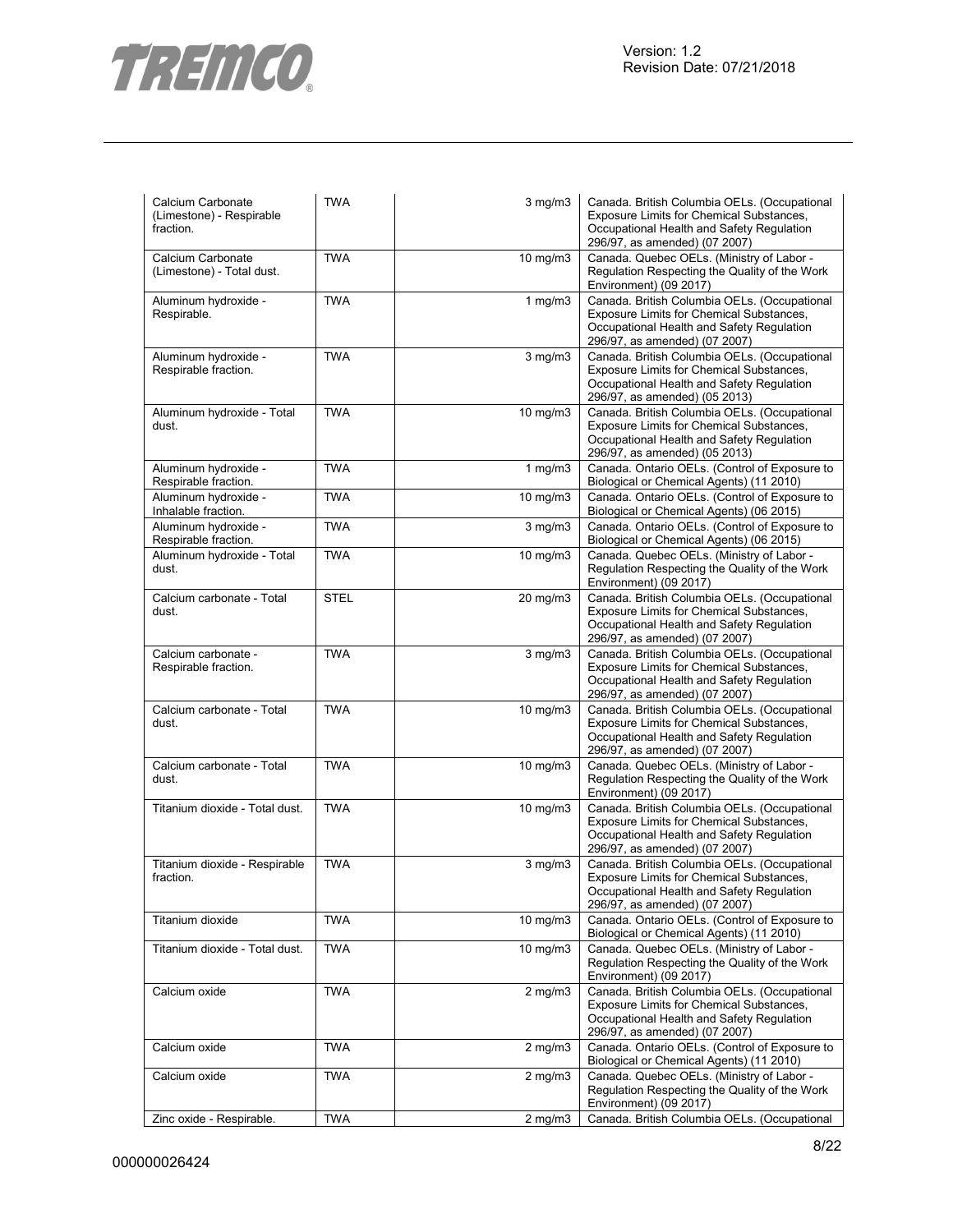

| Calcium Carbonate<br>(Limestone) - Respirable<br>fraction. | <b>TWA</b>  | $3$ mg/m $3$      | Canada. British Columbia OELs. (Occupational<br>Exposure Limits for Chemical Substances,<br>Occupational Health and Safety Regulation<br>296/97, as amended) (07 2007)       |
|------------------------------------------------------------|-------------|-------------------|------------------------------------------------------------------------------------------------------------------------------------------------------------------------------|
| Calcium Carbonate<br>(Limestone) - Total dust.             | <b>TWA</b>  | $10$ mg/m $3$     | Canada. Quebec OELs. (Ministry of Labor -<br>Regulation Respecting the Quality of the Work<br>Environment) (09 2017)                                                         |
| Aluminum hydroxide -<br>Respirable.                        | <b>TWA</b>  | 1 $mg/m3$         | Canada. British Columbia OELs. (Occupational<br>Exposure Limits for Chemical Substances,<br>Occupational Health and Safety Regulation<br>296/97, as amended) (07 2007)       |
| Aluminum hydroxide -<br>Respirable fraction.               | <b>TWA</b>  | $3$ mg/m $3$      | Canada. British Columbia OELs. (Occupational<br>Exposure Limits for Chemical Substances,<br>Occupational Health and Safety Regulation<br>296/97, as amended) (05 2013)       |
| Aluminum hydroxide - Total<br>dust.                        | <b>TWA</b>  | $10$ mg/m $3$     | Canada. British Columbia OELs. (Occupational<br>Exposure Limits for Chemical Substances,<br>Occupational Health and Safety Regulation<br>296/97, as amended) (05 2013)       |
| Aluminum hydroxide -<br>Respirable fraction.               | <b>TWA</b>  | 1 $mg/m3$         | Canada. Ontario OELs. (Control of Exposure to<br>Biological or Chemical Agents) (11 2010)                                                                                    |
| Aluminum hydroxide -<br>Inhalable fraction.                | <b>TWA</b>  | $10 \text{ mg/m}$ | Canada. Ontario OELs. (Control of Exposure to<br>Biological or Chemical Agents) (06 2015)                                                                                    |
| Aluminum hydroxide -<br>Respirable fraction.               | <b>TWA</b>  | $3$ mg/m $3$      | Canada. Ontario OELs. (Control of Exposure to<br>Biological or Chemical Agents) (06 2015)                                                                                    |
| Aluminum hydroxide - Total<br>dust.                        | <b>TWA</b>  | $10 \text{ mg/m}$ | Canada. Quebec OELs. (Ministry of Labor -<br>Regulation Respecting the Quality of the Work<br>Environment) (09 2017)                                                         |
| Calcium carbonate - Total<br>dust.                         | <b>STEL</b> | 20 mg/m3          | Canada. British Columbia OELs. (Occupational<br>Exposure Limits for Chemical Substances,<br>Occupational Health and Safety Regulation<br>296/97, as amended) (07 2007)       |
| Calcium carbonate -<br>Respirable fraction.                | <b>TWA</b>  | $3$ mg/m $3$      | Canada. British Columbia OELs. (Occupational<br>Exposure Limits for Chemical Substances,<br>Occupational Health and Safety Regulation<br>296/97, as amended) (07 2007)       |
| Calcium carbonate - Total<br>dust.                         | <b>TWA</b>  | $10$ mg/m $3$     | Canada. British Columbia OELs. (Occupational<br>Exposure Limits for Chemical Substances,<br>Occupational Health and Safety Regulation<br>296/97, as amended) (07 2007)       |
| Calcium carbonate - Total<br>dust.                         | <b>TWA</b>  | $10$ mg/m $3$     | Canada. Quebec OELs. (Ministry of Labor -<br>Regulation Respecting the Quality of the Work<br>Environment) (09 2017)                                                         |
| Titanium dioxide - Total dust.                             | <b>TWA</b>  | 10 mg/m3          | Canada. British Columbia OELs. (Occupational<br>Exposure Limits for Chemical Substances,<br>Occupational Health and Safety Regulation<br>296/97, as amended) (07 2007)       |
| Titanium dioxide - Respirable<br>fraction.                 | <b>TWA</b>  | $3$ mg/m $3$      | Canada. British Columbia OELs. (Occupational<br><b>Exposure Limits for Chemical Substances</b><br>Occupational Health and Safety Regulation<br>296/97, as amended) (07 2007) |
| Titanium dioxide                                           | <b>TWA</b>  | $10$ mg/m $3$     | Canada. Ontario OELs. (Control of Exposure to<br>Biological or Chemical Agents) (11 2010)                                                                                    |
| Titanium dioxide - Total dust.                             | <b>TWA</b>  | $10 \text{ mg/m}$ | Canada. Quebec OELs. (Ministry of Labor -<br>Regulation Respecting the Quality of the Work<br>Environment) (09 2017)                                                         |
| Calcium oxide                                              | <b>TWA</b>  | $2$ mg/m $3$      | Canada. British Columbia OELs. (Occupational<br>Exposure Limits for Chemical Substances,<br>Occupational Health and Safety Regulation<br>296/97, as amended) (07 2007)       |
| Calcium oxide                                              | <b>TWA</b>  | $2$ mg/m $3$      | Canada. Ontario OELs. (Control of Exposure to<br>Biological or Chemical Agents) (11 2010)                                                                                    |
| Calcium oxide                                              | <b>TWA</b>  | $2$ mg/m $3$      | Canada. Quebec OELs. (Ministry of Labor -<br>Regulation Respecting the Quality of the Work<br>Environment) (09 2017)                                                         |
| Zinc oxide - Respirable.                                   | <b>TWA</b>  | $2$ mg/m $3$      | Canada. British Columbia OELs. (Occupational                                                                                                                                 |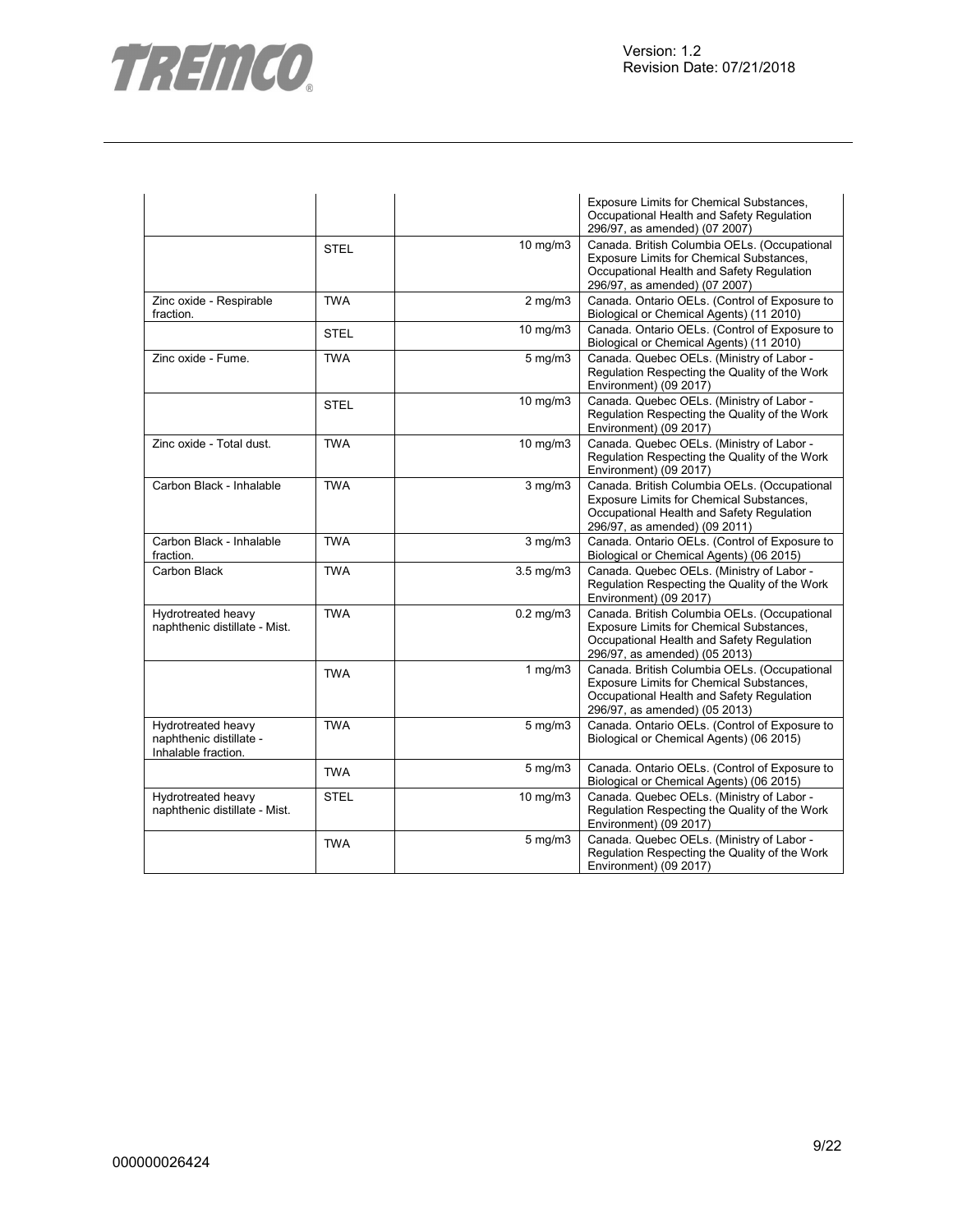

|                                                                      |             |                      | Exposure Limits for Chemical Substances,<br>Occupational Health and Safety Regulation<br>296/97, as amended) (07 2007)                                                 |
|----------------------------------------------------------------------|-------------|----------------------|------------------------------------------------------------------------------------------------------------------------------------------------------------------------|
|                                                                      | <b>STEL</b> | 10 mg/m3             | Canada. British Columbia OELs. (Occupational<br>Exposure Limits for Chemical Substances,<br>Occupational Health and Safety Regulation<br>296/97, as amended) (07 2007) |
| Zinc oxide - Respirable<br>fraction.                                 | <b>TWA</b>  | $2$ mg/m $3$         | Canada. Ontario OELs. (Control of Exposure to<br>Biological or Chemical Agents) (11 2010)                                                                              |
|                                                                      | <b>STEL</b> | $\frac{1}{10}$ mg/m3 | Canada. Ontario OELs. (Control of Exposure to<br>Biological or Chemical Agents) (11 2010)                                                                              |
| Zinc oxide - Fume.                                                   | <b>TWA</b>  | $5$ mg/m $3$         | Canada. Quebec OELs. (Ministry of Labor -<br>Regulation Respecting the Quality of the Work<br>Environment) (09 2017)                                                   |
|                                                                      | <b>STEL</b> | 10 mg/m3             | Canada. Quebec OELs. (Ministry of Labor -<br>Regulation Respecting the Quality of the Work<br>Environment) (09 2017)                                                   |
| Zinc oxide - Total dust.                                             | <b>TWA</b>  | 10 mg/m3             | Canada. Quebec OELs. (Ministry of Labor -<br>Regulation Respecting the Quality of the Work<br>Environment) (09 2017)                                                   |
| Carbon Black - Inhalable                                             | <b>TWA</b>  | $3$ mg/m $3$         | Canada. British Columbia OELs. (Occupational<br>Exposure Limits for Chemical Substances,<br>Occupational Health and Safety Regulation<br>296/97, as amended) (09 2011) |
| Carbon Black - Inhalable<br>fraction.                                | <b>TWA</b>  | $3$ mg/m $3$         | Canada. Ontario OELs. (Control of Exposure to<br>Biological or Chemical Agents) (06 2015)                                                                              |
| Carbon Black                                                         | <b>TWA</b>  | $3.5$ mg/m $3$       | Canada. Quebec OELs. (Ministry of Labor -<br>Regulation Respecting the Quality of the Work<br>Environment) (09 2017)                                                   |
| Hydrotreated heavy<br>naphthenic distillate - Mist.                  | <b>TWA</b>  | $0.2$ mg/m $3$       | Canada. British Columbia OELs. (Occupational<br>Exposure Limits for Chemical Substances,<br>Occupational Health and Safety Regulation<br>296/97, as amended) (05 2013) |
|                                                                      | <b>TWA</b>  | $1$ mg/m $3$         | Canada. British Columbia OELs. (Occupational<br>Exposure Limits for Chemical Substances,<br>Occupational Health and Safety Regulation<br>296/97, as amended) (05 2013) |
| Hydrotreated heavy<br>naphthenic distillate -<br>Inhalable fraction. | <b>TWA</b>  | $5 \text{ mg/m}$     | Canada. Ontario OELs. (Control of Exposure to<br>Biological or Chemical Agents) (06 2015)                                                                              |
|                                                                      | <b>TWA</b>  | $5$ mg/m $3$         | Canada. Ontario OELs. (Control of Exposure to<br>Biological or Chemical Agents) (06 2015)                                                                              |
| Hydrotreated heavy<br>naphthenic distillate - Mist.                  | <b>STEL</b> | 10 mg/m3             | Canada. Quebec OELs. (Ministry of Labor -<br>Regulation Respecting the Quality of the Work<br>Environment) (09 2017)                                                   |
|                                                                      | <b>TWA</b>  | $5 \text{ mg/m}$     | Canada. Quebec OELs. (Ministry of Labor -<br>Regulation Respecting the Quality of the Work<br>Environment) (09 2017)                                                   |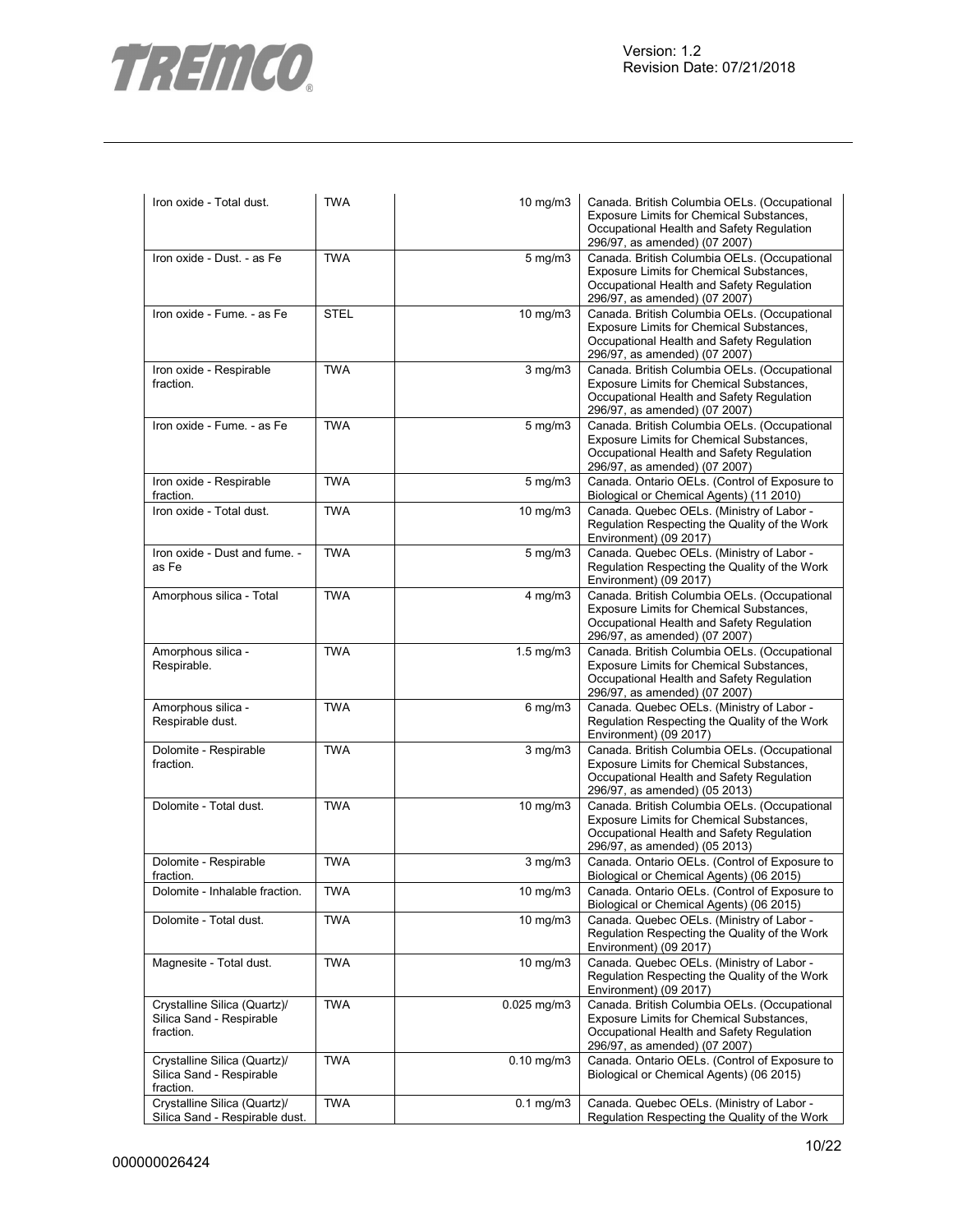

| Iron oxide - Total dust.                                              | <b>TWA</b>  | $10 \text{ mg/m}$ | Canada. British Columbia OELs. (Occupational<br>Exposure Limits for Chemical Substances,<br>Occupational Health and Safety Regulation<br>296/97, as amended) (07 2007) |
|-----------------------------------------------------------------------|-------------|-------------------|------------------------------------------------------------------------------------------------------------------------------------------------------------------------|
| Iron oxide - Dust. - as Fe                                            | <b>TWA</b>  | $5 \text{ mg/m}$  | Canada. British Columbia OELs. (Occupational<br>Exposure Limits for Chemical Substances,<br>Occupational Health and Safety Regulation<br>296/97, as amended) (07 2007) |
| Iron oxide - Fume. - as Fe                                            | <b>STEL</b> | 10 $mg/m3$        | Canada. British Columbia OELs. (Occupational<br>Exposure Limits for Chemical Substances,<br>Occupational Health and Safety Regulation<br>296/97, as amended) (07 2007) |
| Iron oxide - Respirable<br>fraction.                                  | <b>TWA</b>  | $3$ mg/m $3$      | Canada. British Columbia OELs. (Occupational<br>Exposure Limits for Chemical Substances,<br>Occupational Health and Safety Regulation<br>296/97, as amended) (07 2007) |
| Iron oxide - Fume. - as Fe                                            | <b>TWA</b>  | $5 \text{ mg/m}$  | Canada. British Columbia OELs. (Occupational<br>Exposure Limits for Chemical Substances,<br>Occupational Health and Safety Regulation<br>296/97, as amended) (07 2007) |
| Iron oxide - Respirable<br>fraction.                                  | <b>TWA</b>  | $5 \text{ mg/m}$  | Canada. Ontario OELs. (Control of Exposure to<br>Biological or Chemical Agents) (11 2010)                                                                              |
| Iron oxide - Total dust.                                              | <b>TWA</b>  | $10 \text{ mg/m}$ | Canada. Quebec OELs. (Ministry of Labor -<br>Regulation Respecting the Quality of the Work<br>Environment) (09 2017)                                                   |
| Iron oxide - Dust and fume. -<br>as Fe                                | <b>TWA</b>  | $5 \text{ mg/m}$  | Canada. Quebec OELs. (Ministry of Labor -<br>Regulation Respecting the Quality of the Work<br>Environment) (09 2017)                                                   |
| Amorphous silica - Total                                              | <b>TWA</b>  | $4$ mg/m $3$      | Canada. British Columbia OELs. (Occupational<br>Exposure Limits for Chemical Substances,<br>Occupational Health and Safety Regulation<br>296/97, as amended) (07 2007) |
| Amorphous silica -<br>Respirable.                                     | <b>TWA</b>  | $1.5$ mg/m $3$    | Canada. British Columbia OELs. (Occupational<br>Exposure Limits for Chemical Substances,<br>Occupational Health and Safety Regulation<br>296/97, as amended) (07 2007) |
| Amorphous silica -<br>Respirable dust.                                | <b>TWA</b>  | $6$ mg/m $3$      | Canada. Quebec OELs. (Ministry of Labor -<br>Regulation Respecting the Quality of the Work<br>Environment) (09 2017)                                                   |
| Dolomite - Respirable<br>fraction.                                    | <b>TWA</b>  | $3$ mg/m $3$      | Canada. British Columbia OELs. (Occupational<br>Exposure Limits for Chemical Substances,<br>Occupational Health and Safety Regulation<br>296/97, as amended) (05 2013) |
| Dolomite - Total dust.                                                | <b>TWA</b>  | 10 mg/m3          | Canada. British Columbia OELs. (Occupational<br>Exposure Limits for Chemical Substances,<br>Occupational Health and Safety Regulation<br>296/97, as amended) (05 2013) |
| Dolomite - Respirable<br>traction.                                    | <b>TWA</b>  | $3$ mg/m $3$      | Canada. Ontario OELs. (Control of Exposure to<br>Biological or Chemical Agents) (06 2015)                                                                              |
| Dolomite - Inhalable fraction.                                        | <b>TWA</b>  | 10 mg/m3          | Canada. Ontario OELs. (Control of Exposure to<br>Biological or Chemical Agents) (06 2015)                                                                              |
| Dolomite - Total dust.                                                | <b>TWA</b>  | $10$ mg/m $3$     | Canada. Quebec OELs. (Ministry of Labor -<br>Regulation Respecting the Quality of the Work<br>Environment) (09 2017)                                                   |
| Magnesite - Total dust.                                               | <b>TWA</b>  | 10 mg/m3          | Canada. Quebec OELs. (Ministry of Labor -<br>Regulation Respecting the Quality of the Work<br>Environment) (09 2017)                                                   |
| Crystalline Silica (Quartz)/<br>Silica Sand - Respirable<br>fraction. | <b>TWA</b>  | $0.025$ mg/m $3$  | Canada. British Columbia OELs. (Occupational<br>Exposure Limits for Chemical Substances,<br>Occupational Health and Safety Regulation<br>296/97, as amended) (07 2007) |
| Crystalline Silica (Quartz)/<br>Silica Sand - Respirable<br>fraction. | <b>TWA</b>  | $0.10$ mg/m $3$   | Canada. Ontario OELs. (Control of Exposure to<br>Biological or Chemical Agents) (06 2015)                                                                              |
| Crystalline Silica (Quartz)/                                          | <b>TWA</b>  | $0.1$ mg/m $3$    | Canada. Quebec OELs. (Ministry of Labor -                                                                                                                              |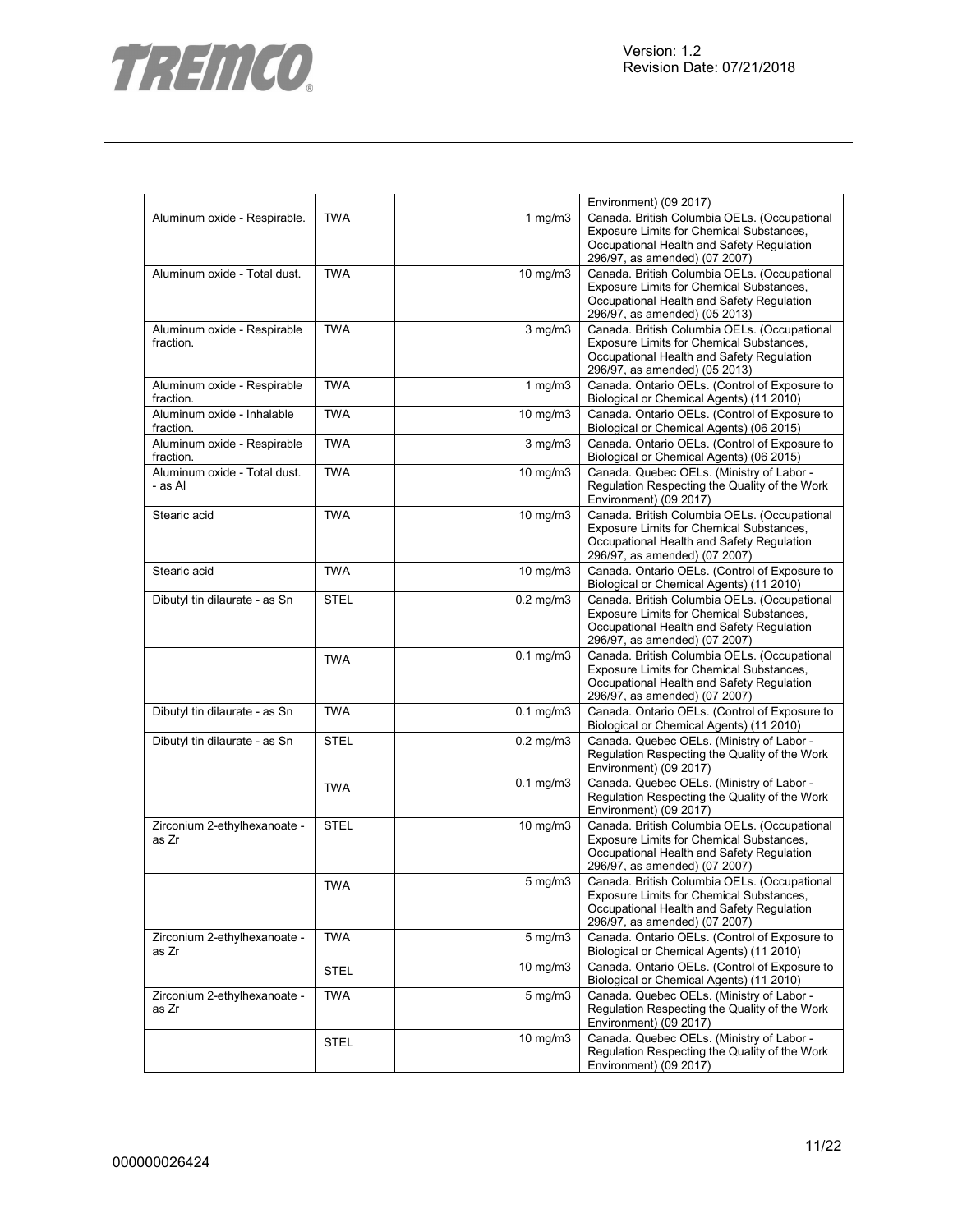

|                                          |             |                   | Environment) (09 2017)                                                                                                                                                 |
|------------------------------------------|-------------|-------------------|------------------------------------------------------------------------------------------------------------------------------------------------------------------------|
| Aluminum oxide - Respirable.             | <b>TWA</b>  | 1 $mg/m3$         | Canada. British Columbia OELs. (Occupational<br>Exposure Limits for Chemical Substances,<br>Occupational Health and Safety Regulation<br>296/97, as amended) (07 2007) |
| Aluminum oxide - Total dust.             | <b>TWA</b>  | 10 mg/m3          | Canada. British Columbia OELs. (Occupational<br>Exposure Limits for Chemical Substances,<br>Occupational Health and Safety Regulation<br>296/97, as amended) (05 2013) |
| Aluminum oxide - Respirable<br>fraction. | <b>TWA</b>  | $3$ mg/m $3$      | Canada. British Columbia OELs. (Occupational<br>Exposure Limits for Chemical Substances,<br>Occupational Health and Safety Regulation<br>296/97, as amended) (05 2013) |
| Aluminum oxide - Respirable<br>fraction. | <b>TWA</b>  | 1 mg/m $3$        | Canada. Ontario OELs. (Control of Exposure to<br>Biological or Chemical Agents) (11 2010)                                                                              |
| Aluminum oxide - Inhalable<br>fraction.  | <b>TWA</b>  | $10$ mg/m $3$     | Canada. Ontario OELs. (Control of Exposure to<br>Biological or Chemical Agents) (06 2015)                                                                              |
| Aluminum oxide - Respirable<br>fraction. | <b>TWA</b>  | $3$ mg/m $3$      | Canada. Ontario OELs. (Control of Exposure to<br>Biological or Chemical Agents) (06 2015)                                                                              |
| Aluminum oxide - Total dust.<br>- as Al  | <b>TWA</b>  | $10$ mg/m $3$     | Canada. Quebec OELs. (Ministry of Labor -<br>Regulation Respecting the Quality of the Work<br>Environment) (09 2017)                                                   |
| Stearic acid                             | <b>TWA</b>  | 10 mg/m3          | Canada. British Columbia OELs. (Occupational<br>Exposure Limits for Chemical Substances,<br>Occupational Health and Safety Regulation<br>296/97, as amended) (07 2007) |
| Stearic acid                             | <b>TWA</b>  | $10 \text{ mg/m}$ | Canada. Ontario OELs. (Control of Exposure to<br>Biological or Chemical Agents) (11 2010)                                                                              |
| Dibutyl tin dilaurate - as Sn            | <b>STEL</b> | $0.2$ mg/m $3$    | Canada. British Columbia OELs. (Occupational<br>Exposure Limits for Chemical Substances,<br>Occupational Health and Safety Regulation<br>296/97, as amended) (07 2007) |
|                                          | <b>TWA</b>  | $0.1$ mg/m $3$    | Canada. British Columbia OELs. (Occupational<br>Exposure Limits for Chemical Substances,<br>Occupational Health and Safety Regulation<br>296/97, as amended) (07 2007) |
| Dibutyl tin dilaurate - as Sn            | <b>TWA</b>  | $0.1$ mg/m $3$    | Canada. Ontario OELs. (Control of Exposure to<br>Biological or Chemical Agents) (11 2010)                                                                              |
| Dibutyl tin dilaurate - as Sn            | <b>STEL</b> | $0.2$ mg/m $3$    | Canada. Quebec OELs. (Ministry of Labor -<br>Regulation Respecting the Quality of the Work<br>Environment) (09 2017)                                                   |
|                                          | <b>TWA</b>  | $0.1$ mg/m $3$    | Canada. Quebec OELs. (Ministry of Labor -<br>Regulation Respecting the Quality of the Work<br>Environment) (09 2017)                                                   |
| Zirconium 2-ethylhexanoate -<br>as Zr    | <b>STEL</b> | 10 mg/m3          | Canada. British Columbia OELs. (Occupational<br>Exposure Limits for Chemical Substances,<br>Occupational Health and Safety Regulation<br>296/97, as amended) (07 2007) |
|                                          | <b>TWA</b>  | $5 \text{ mg/m}$  | Canada. British Columbia OELs. (Occupational<br>Exposure Limits for Chemical Substances,<br>Occupational Health and Safety Regulation<br>296/97, as amended) (07 2007) |
| Zirconium 2-ethylhexanoate -<br>as Zr    | <b>TWA</b>  | $5 \text{ mg/m}$  | Canada. Ontario OELs. (Control of Exposure to<br>Biological or Chemical Agents) (11 2010)                                                                              |
|                                          | <b>STEL</b> | $10 \text{ mg/m}$ | Canada. Ontario OELs. (Control of Exposure to<br>Biological or Chemical Agents) (11 2010)                                                                              |
| Zirconium 2-ethylhexanoate -<br>as Zr    | <b>TWA</b>  | $5 \text{ mg/m}$  | Canada. Quebec OELs. (Ministry of Labor -<br>Regulation Respecting the Quality of the Work<br>Environment) (09 2017)                                                   |
|                                          | <b>STEL</b> | 10 mg/m3          | Canada. Quebec OELs. (Ministry of Labor -<br>Regulation Respecting the Quality of the Work<br>Environment) (09 2017)                                                   |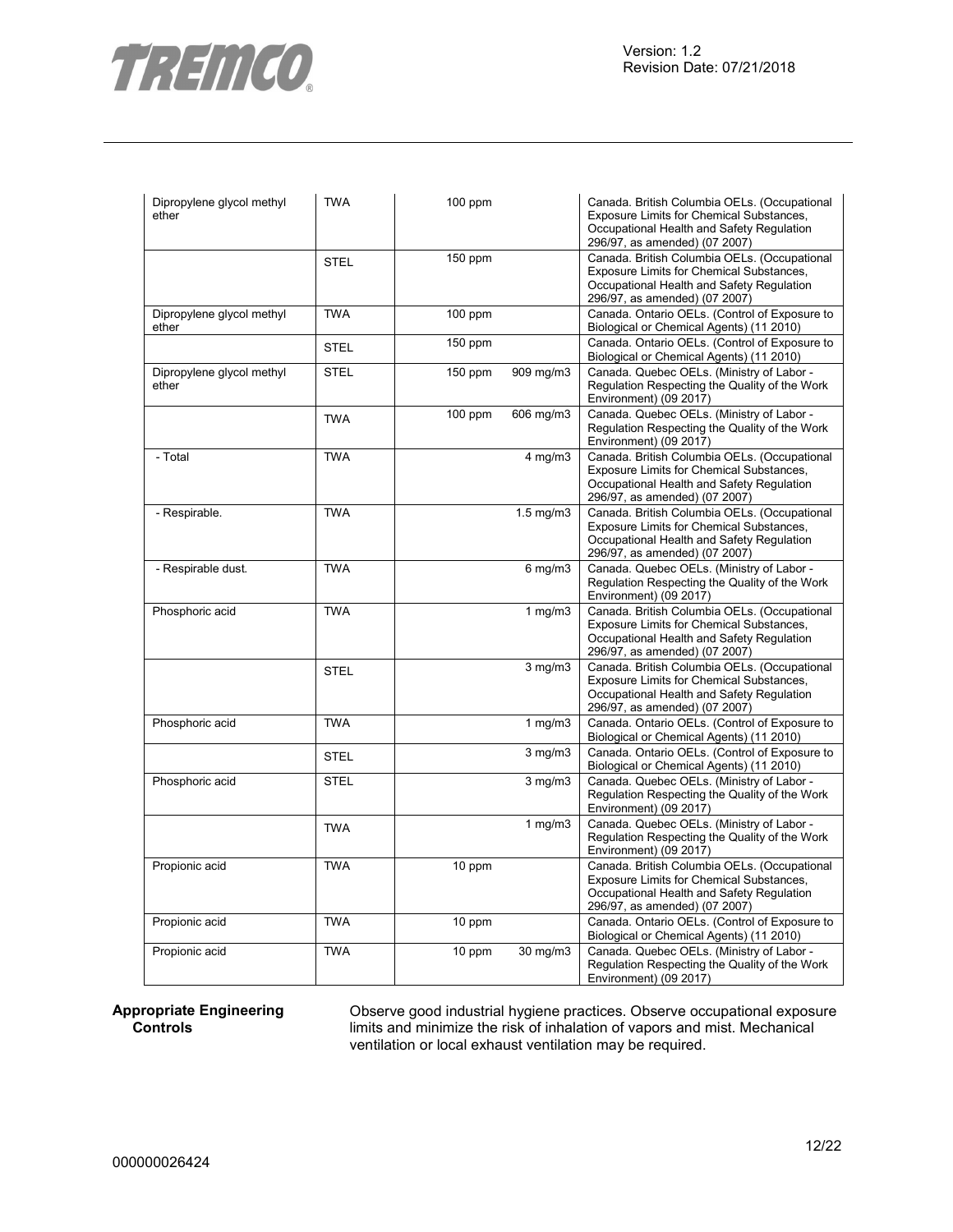

 $\mathbf{r}$ 

| Dipropylene glycol methyl<br>ether | TWA         | $100$ ppm |                | Canada. British Columbia OELs. (Occupational<br>Exposure Limits for Chemical Substances,<br>Occupational Health and Safety Regulation<br>296/97, as amended) (07 2007)        |
|------------------------------------|-------------|-----------|----------------|-------------------------------------------------------------------------------------------------------------------------------------------------------------------------------|
|                                    | <b>STEL</b> | 150 ppm   |                | Canada. British Columbia OELs. (Occupational<br>Exposure Limits for Chemical Substances,<br>Occupational Health and Safety Regulation<br>296/97, as amended) (07 2007)        |
| Dipropylene glycol methyl<br>ether | <b>TWA</b>  | $100$ ppm |                | Canada. Ontario OELs. (Control of Exposure to<br>Biological or Chemical Agents) (11 2010)                                                                                     |
|                                    | <b>STEL</b> | $150$ ppm |                | Canada. Ontario OELs. (Control of Exposure to<br>Biological or Chemical Agents) (11 2010)                                                                                     |
| Dipropylene glycol methyl<br>ether | <b>STEL</b> | $150$ ppm | 909 mg/m3      | Canada. Quebec OELs. (Ministry of Labor -<br>Regulation Respecting the Quality of the Work<br>Environment) (09 2017)                                                          |
|                                    | <b>TWA</b>  | $100$ ppm | 606 mg/m3      | Canada. Quebec OELs. (Ministry of Labor -<br>Regulation Respecting the Quality of the Work<br>Environment) (09 2017)                                                          |
| - Total                            | <b>TWA</b>  |           | $4$ mg/m $3$   | Canada. British Columbia OELs. (Occupational<br>Exposure Limits for Chemical Substances,<br>Occupational Health and Safety Regulation<br>296/97, as amended) (07 2007)        |
| - Respirable.                      | <b>TWA</b>  |           | $1.5$ mg/m $3$ | Canada. British Columbia OELs. (Occupational<br>Exposure Limits for Chemical Substances,<br>Occupational Health and Safety Regulation<br>296/97, as amended) (07 2007)        |
| - Respirable dust.                 | <b>TWA</b>  |           | $6$ mg/m $3$   | Canada. Quebec OELs. (Ministry of Labor -<br>Regulation Respecting the Quality of the Work<br>Environment) (09 2017)                                                          |
| Phosphoric acid                    | <b>TWA</b>  |           | 1 $mg/m3$      | Canada. British Columbia OELs. (Occupational<br>Exposure Limits for Chemical Substances,<br>Occupational Health and Safety Regulation<br>296/97, as amended) (07 2007)        |
|                                    | <b>STEL</b> |           | 3 mg/m3        | Canada. British Columbia OELs. (Occupational<br>Exposure Limits for Chemical Substances,<br>Occupational Health and Safety Regulation<br>296/97, as amended) (07 2007)        |
| Phosphoric acid                    | <b>TWA</b>  |           | 1 $mg/m3$      | Canada. Ontario OELs. (Control of Exposure to<br>Biological or Chemical Agents) (11 2010)                                                                                     |
|                                    | <b>STEL</b> |           | $3$ mg/m $3$   | Canada. Ontario OELs. (Control of Exposure to<br>Biological or Chemical Agents) (11 2010)                                                                                     |
| Phosphoric acid                    | <b>STEL</b> |           | $3$ mg/m $3$   | Canada. Quebec OELs. (Ministry of Labor -<br>Regulation Respecting the Quality of the Work<br>Environment) (09 2017)                                                          |
|                                    | <b>TWA</b>  |           | 1 $mg/m3$      | Canada. Quebec OELs. (Ministry of Labor -<br>Regulation Respecting the Quality of the Work<br>Environment) (09 2017)                                                          |
| Propionic acid                     | <b>TWA</b>  | 10 ppm    |                | Canada. British Columbia OELs. (Occupational<br><b>Exposure Limits for Chemical Substances,</b><br>Occupational Health and Safety Regulation<br>296/97, as amended) (07 2007) |
| Propionic acid                     | <b>TWA</b>  | 10 ppm    |                | Canada. Ontario OELs. (Control of Exposure to<br>Biological or Chemical Agents) (11 2010)                                                                                     |
| Propionic acid                     | <b>TWA</b>  | 10 ppm    | 30 mg/m3       | Canada. Quebec OELs. (Ministry of Labor -<br>Regulation Respecting the Quality of the Work<br>Environment) (09 2017)                                                          |

# **Appropriate Engineering Controls**

Observe good industrial hygiene practices. Observe occupational exposure limits and minimize the risk of inhalation of vapors and mist. Mechanical ventilation or local exhaust ventilation may be required.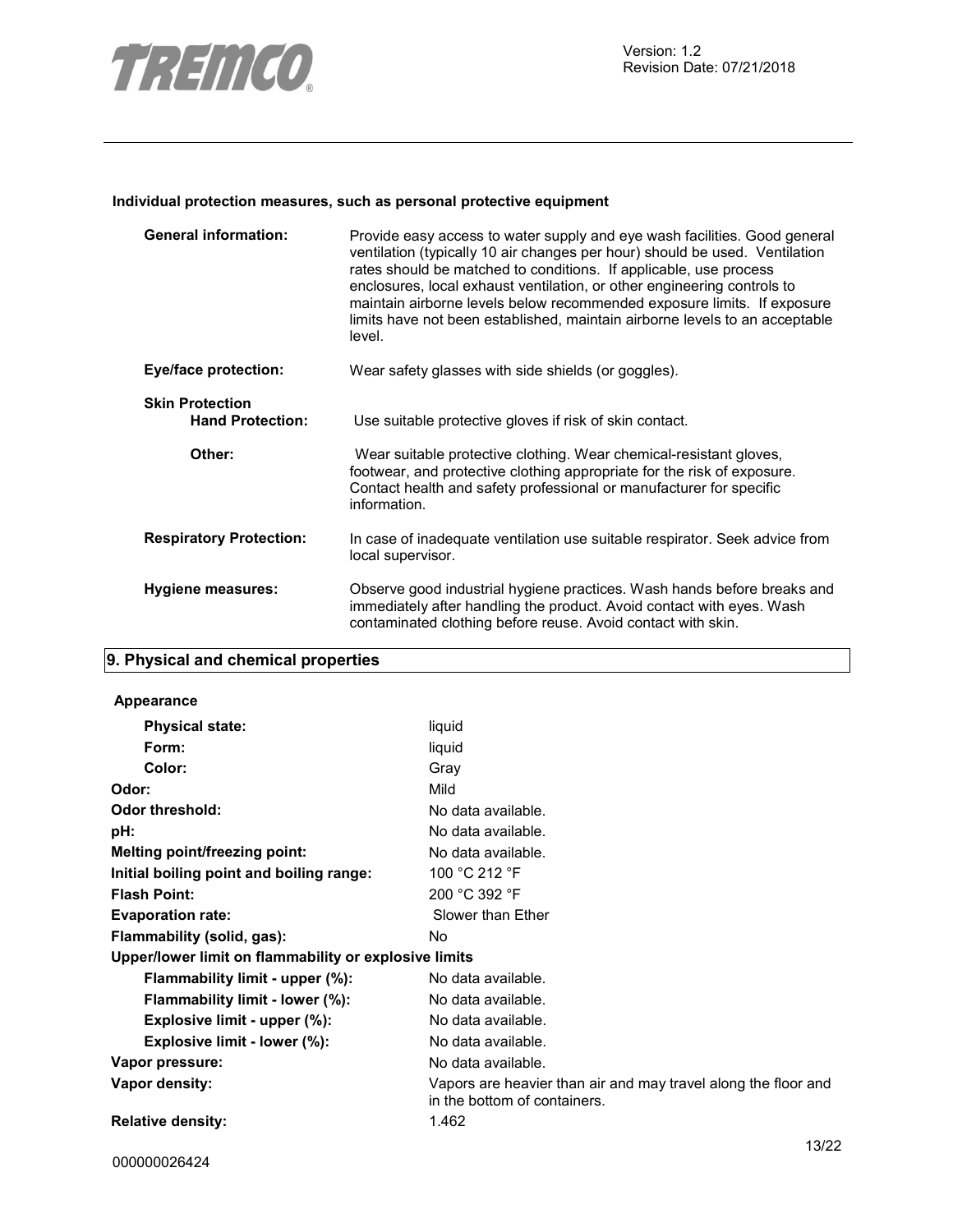

# **Individual protection measures, such as personal protective equipment**

| <b>General information:</b>                       | Provide easy access to water supply and eye wash facilities. Good general<br>ventilation (typically 10 air changes per hour) should be used. Ventilation<br>rates should be matched to conditions. If applicable, use process<br>enclosures, local exhaust ventilation, or other engineering controls to<br>maintain airborne levels below recommended exposure limits. If exposure<br>limits have not been established, maintain airborne levels to an acceptable<br>level. |
|---------------------------------------------------|------------------------------------------------------------------------------------------------------------------------------------------------------------------------------------------------------------------------------------------------------------------------------------------------------------------------------------------------------------------------------------------------------------------------------------------------------------------------------|
| <b>Eye/face protection:</b>                       | Wear safety glasses with side shields (or goggles).                                                                                                                                                                                                                                                                                                                                                                                                                          |
| <b>Skin Protection</b><br><b>Hand Protection:</b> | Use suitable protective gloves if risk of skin contact.                                                                                                                                                                                                                                                                                                                                                                                                                      |
| Other:                                            | Wear suitable protective clothing. Wear chemical-resistant gloves,<br>footwear, and protective clothing appropriate for the risk of exposure.<br>Contact health and safety professional or manufacturer for specific<br>information.                                                                                                                                                                                                                                         |
| <b>Respiratory Protection:</b>                    | In case of inadequate ventilation use suitable respirator. Seek advice from<br>local supervisor.                                                                                                                                                                                                                                                                                                                                                                             |
| Hygiene measures:                                 | Observe good industrial hygiene practices. Wash hands before breaks and<br>immediately after handling the product. Avoid contact with eyes. Wash<br>contaminated clothing before reuse. Avoid contact with skin.                                                                                                                                                                                                                                                             |

# **9. Physical and chemical properties**

# **Appearance**

| <b>Physical state:</b>                                | liquid                                                                                         |
|-------------------------------------------------------|------------------------------------------------------------------------------------------------|
| Form:                                                 | liquid                                                                                         |
| Color:                                                | Gray                                                                                           |
| Odor:                                                 | Mild                                                                                           |
| Odor threshold:                                       | No data available.                                                                             |
| pH:                                                   | No data available.                                                                             |
| Melting point/freezing point:                         | No data available.                                                                             |
| Initial boiling point and boiling range:              | 100 °C 212 °F                                                                                  |
| <b>Flash Point:</b>                                   | 200 °C 392 °F                                                                                  |
| <b>Evaporation rate:</b>                              | Slower than Ether                                                                              |
| Flammability (solid, gas):                            | No.                                                                                            |
| Upper/lower limit on flammability or explosive limits |                                                                                                |
| Flammability limit - upper (%):                       | No data available.                                                                             |
| Flammability limit - lower (%):                       | No data available.                                                                             |
| Explosive limit - upper (%):                          | No data available.                                                                             |
| Explosive limit - lower (%):                          | No data available.                                                                             |
| Vapor pressure:                                       | No data available.                                                                             |
| Vapor density:                                        | Vapors are heavier than air and may travel along the floor and<br>in the bottom of containers. |
| <b>Relative density:</b>                              | 1.462                                                                                          |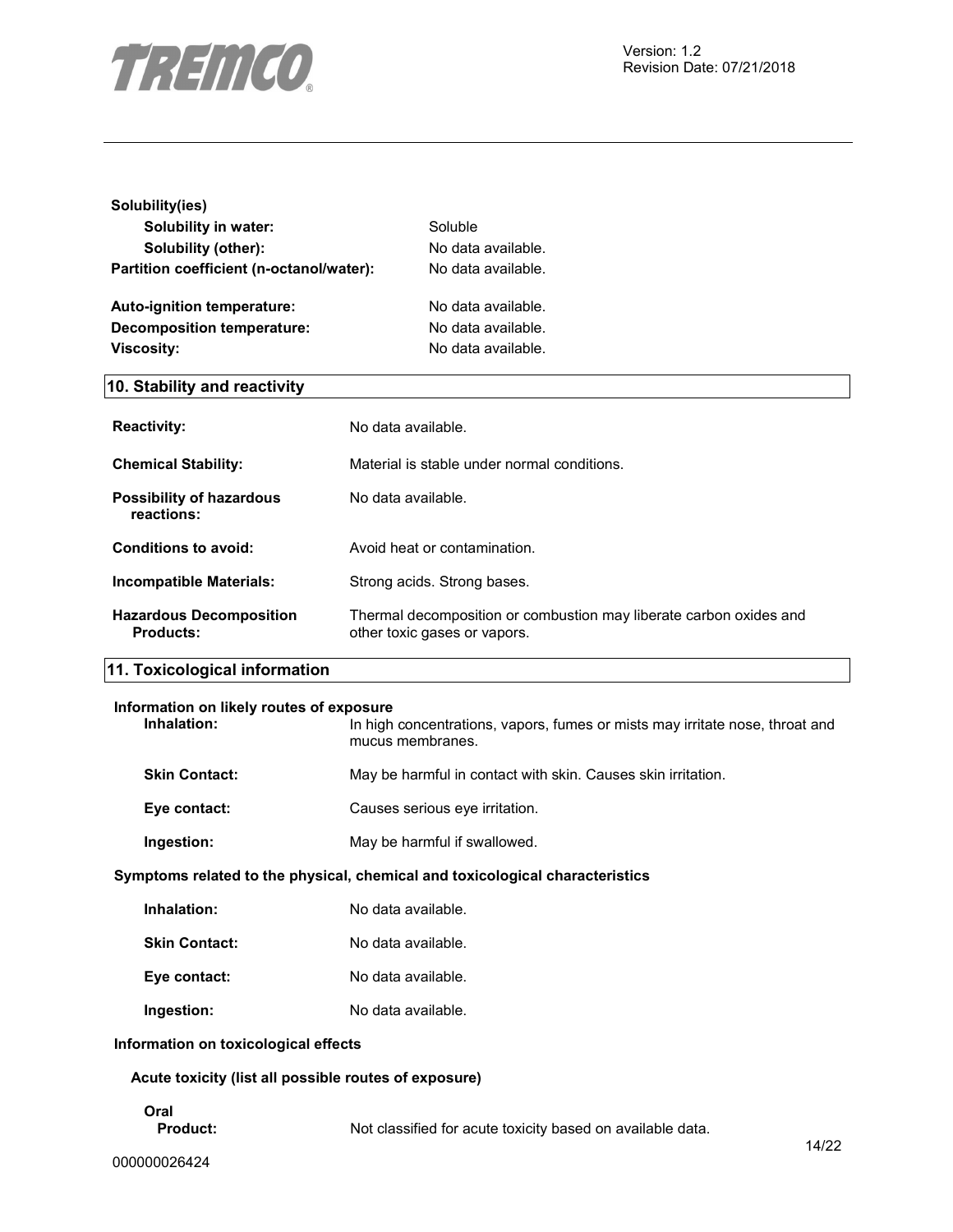

| Solubility(ies)                          |                    |
|------------------------------------------|--------------------|
| Solubility in water:                     | Soluble            |
| Solubility (other):                      | No data available. |
| Partition coefficient (n-octanol/water): | No data available. |
| <b>Auto-ignition temperature:</b>        | No data available. |
| Decomposition temperature:               | No data available. |
| Viscosity:                               | No data available. |
| 10. Stability and reactivity             |                    |

| <b>Reactivity:</b>                                 | No data available.                                                                                 |
|----------------------------------------------------|----------------------------------------------------------------------------------------------------|
| <b>Chemical Stability:</b>                         | Material is stable under normal conditions.                                                        |
| <b>Possibility of hazardous</b><br>reactions:      | No data available.                                                                                 |
| Conditions to avoid:                               | Avoid heat or contamination.                                                                       |
| <b>Incompatible Materials:</b>                     | Strong acids. Strong bases.                                                                        |
| <b>Hazardous Decomposition</b><br><b>Products:</b> | Thermal decomposition or combustion may liberate carbon oxides and<br>other toxic gases or vapors. |
| ---<br>                                            |                                                                                                    |

# **11. Toxicological information**

| Information on likely routes of exposure<br>In high concentrations, vapors, fumes or mists may irritate nose, throat and<br>mucus membranes. |
|----------------------------------------------------------------------------------------------------------------------------------------------|
| May be harmful in contact with skin. Causes skin irritation.                                                                                 |
| Causes serious eve irritation.                                                                                                               |
| May be harmful if swallowed.                                                                                                                 |
|                                                                                                                                              |

# **Symptoms related to the physical, chemical and toxicological characteristics**

| Inhalation:          | No data available. |
|----------------------|--------------------|
| <b>Skin Contact:</b> | No data available. |
| Eye contact:         | No data available. |
| Ingestion:           | No data available. |

# **Information on toxicological effects**

# **Acute toxicity (list all possible routes of exposure)**

**Oral** 

**Product:** Not classified for acute toxicity based on available data.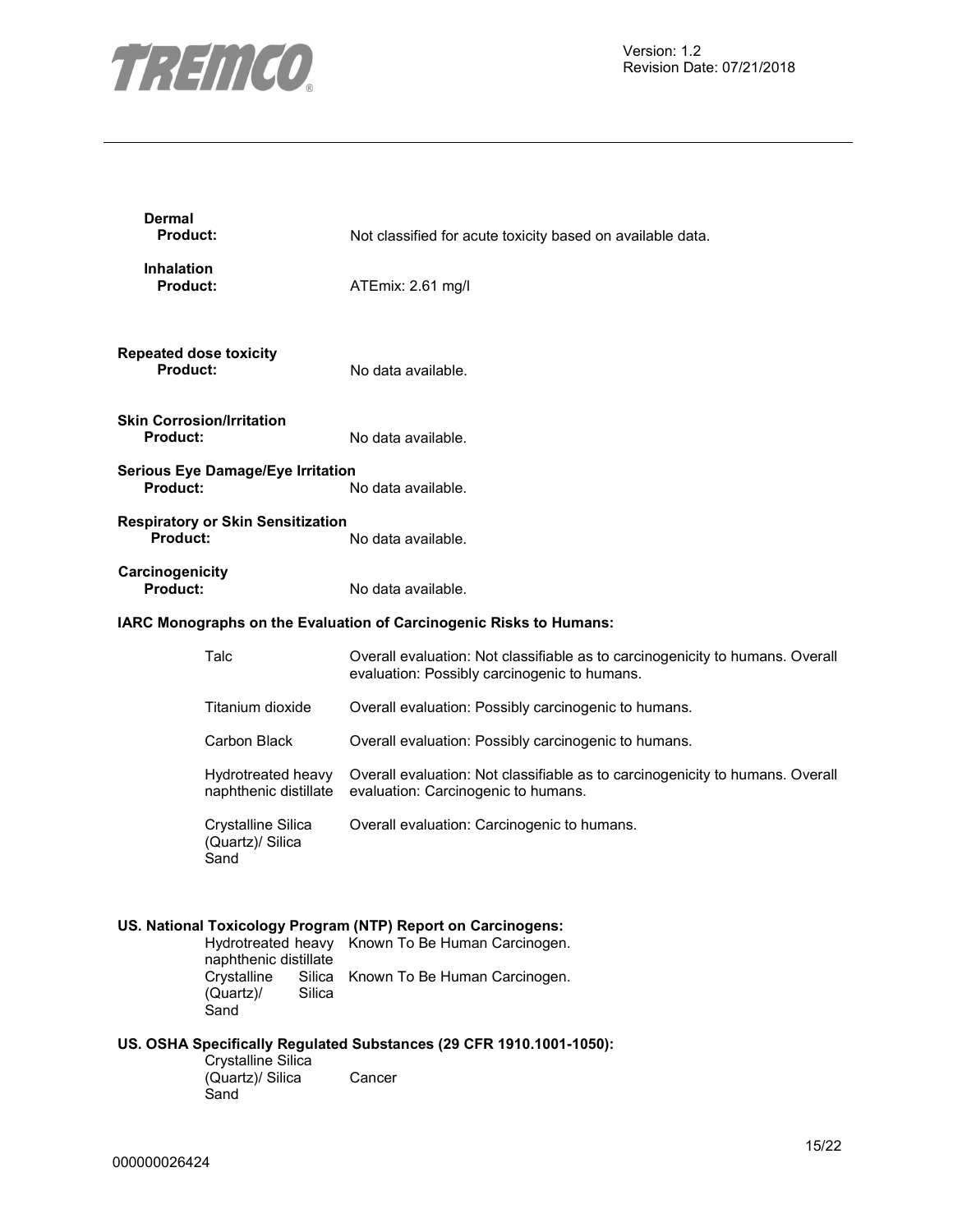

| <b>Dermal</b><br>Product:                        |                                                             | Not classified for acute toxicity based on available data.                                                                    |
|--------------------------------------------------|-------------------------------------------------------------|-------------------------------------------------------------------------------------------------------------------------------|
| <b>Inhalation</b><br><b>Product:</b>             |                                                             | ATEmix: 2.61 mg/l                                                                                                             |
| <b>Repeated dose toxicity</b><br><b>Product:</b> |                                                             | No data available.                                                                                                            |
| <b>Product:</b>                                  | <b>Skin Corrosion/Irritation</b>                            | No data available.                                                                                                            |
| Product:                                         | <b>Serious Eye Damage/Eye Irritation</b>                    | No data available.                                                                                                            |
| Product:                                         | <b>Respiratory or Skin Sensitization</b>                    | No data available.                                                                                                            |
| Carcinogenicity<br>Product:                      |                                                             | No data available.                                                                                                            |
|                                                  |                                                             | IARC Monographs on the Evaluation of Carcinogenic Risks to Humans:                                                            |
|                                                  | Talc                                                        | Overall evaluation: Not classifiable as to carcinogenicity to humans. Overall<br>evaluation: Possibly carcinogenic to humans. |
|                                                  | Titanium dioxide                                            | Overall evaluation: Possibly carcinogenic to humans.                                                                          |
|                                                  | Carbon Black                                                | Overall evaluation: Possibly carcinogenic to humans.                                                                          |
|                                                  | Hydrotreated heavy<br>naphthenic distillate                 | Overall evaluation: Not classifiable as to carcinogenicity to humans. Overall<br>evaluation: Carcinogenic to humans.          |
|                                                  | Crystalline Silica<br>(Quartz)/ Silica<br>Sand              | Overall evaluation: Carcinogenic to humans.                                                                                   |
|                                                  |                                                             | US. National Toxicology Program (NTP) Report on Carcinogens:                                                                  |
|                                                  | naphthenic distillate                                       | Hydrotreated heavy Known To Be Human Carcinogen.                                                                              |
|                                                  | Crystalline<br>Silica<br><b>Silica</b><br>(Quartz)/<br>Sand | Known To Be Human Carcinogen.                                                                                                 |
|                                                  |                                                             | US. OSHA Specifically Regulated Substances (29 CFR 1910.1001-1050):                                                           |
|                                                  | Crystalline Silica<br>(Quartz)/ Silica<br>Sand              | Cancer                                                                                                                        |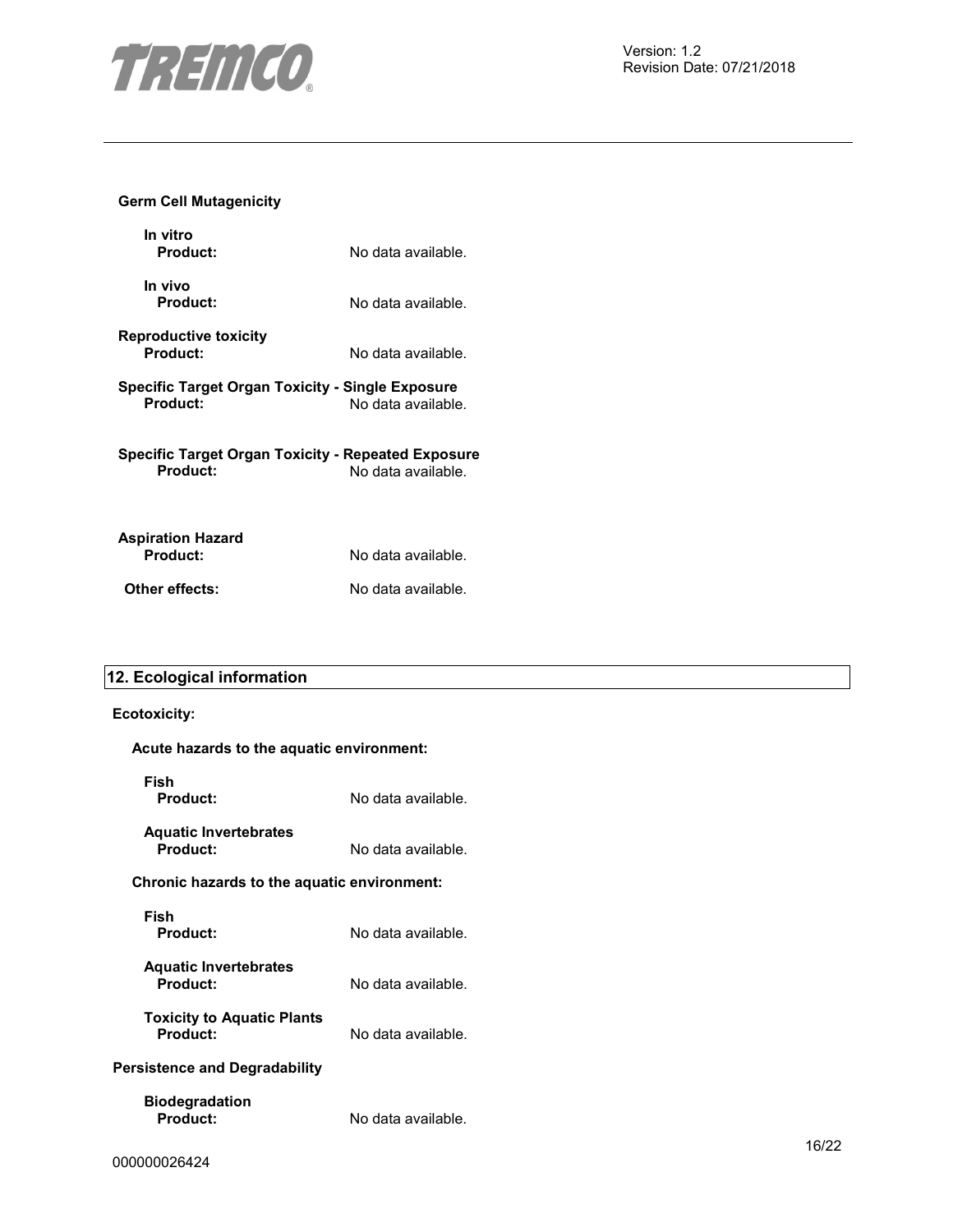

# **Germ Cell Mutagenicity**

| In vitro<br>Product:                                           | No data available. |
|----------------------------------------------------------------|--------------------|
| In vivo<br>Product:                                            | No data available. |
| <b>Reproductive toxicity</b><br>Product:                       | No data available. |
| Specific Target Organ Toxicity - Single Exposure<br>Product:   | No data available. |
| Specific Target Organ Toxicity - Repeated Exposure<br>Product: | No data available. |
| <b>Aspiration Hazard</b><br>Product:                           | No data available. |

**Other effects:** No data available.

# **12. Ecological information**

# **Ecotoxicity:**

| ∟∪∪∪∧ı∪ıty.                                   |                    |
|-----------------------------------------------|--------------------|
| Acute hazards to the aquatic environment:     |                    |
| Fish<br>Product:                              | No data available. |
| <b>Aquatic Invertebrates</b><br>Product:      | No data available. |
| Chronic hazards to the aquatic environment:   |                    |
| Fish<br>Product:                              | No data available. |
| <b>Aquatic Invertebrates</b><br>Product:      | No data available. |
| <b>Toxicity to Aquatic Plants</b><br>Product: | No data available. |
| Persistence and Degradability                 |                    |
| <b>Biodegradation</b><br>Product:             | No data available. |
| 000000026424                                  |                    |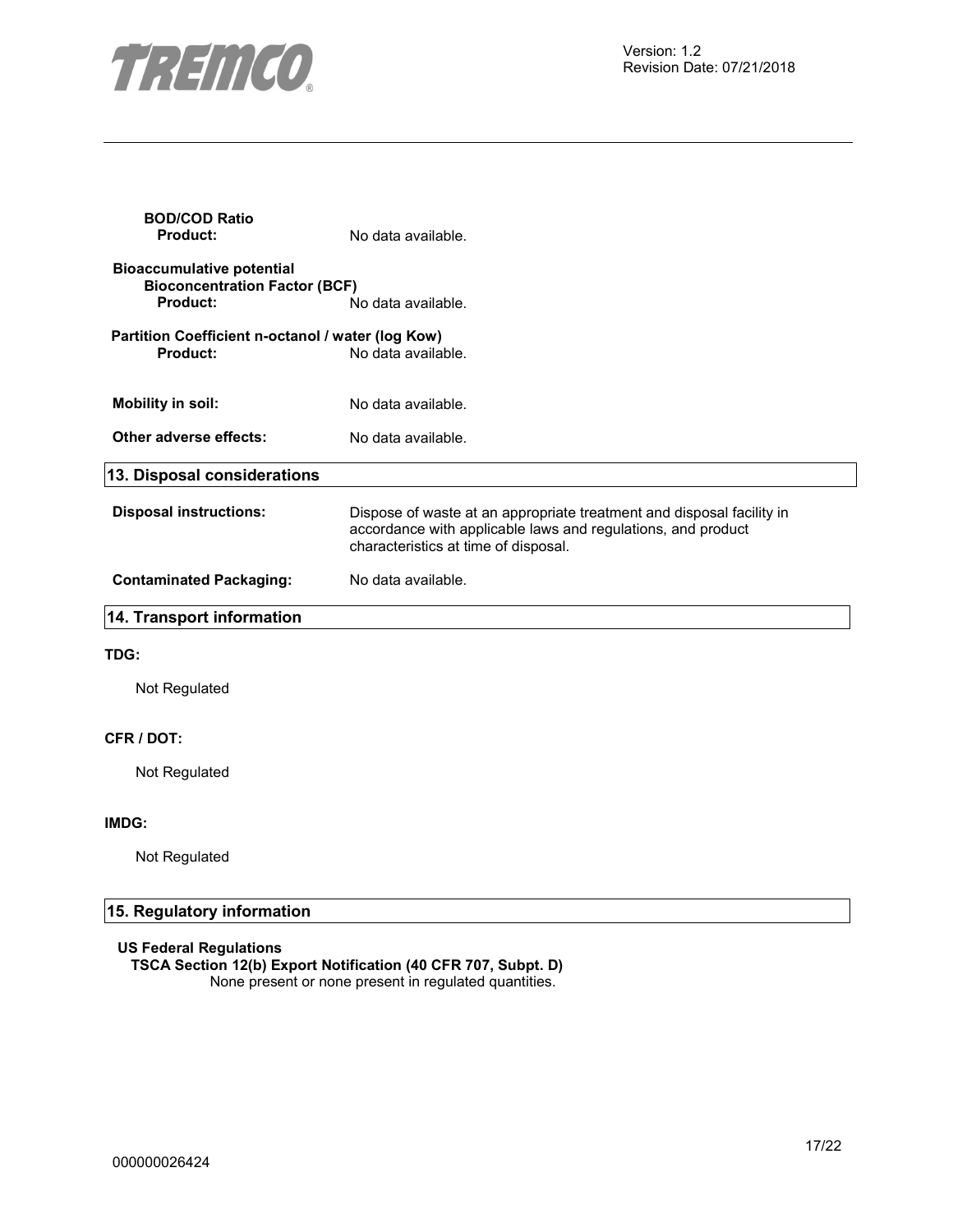

| <b>BOD/COD Ratio</b><br><b>Product:</b>                                              | No data available.                                                                                                                                                            |
|--------------------------------------------------------------------------------------|-------------------------------------------------------------------------------------------------------------------------------------------------------------------------------|
| <b>Bioaccumulative potential</b><br><b>Bioconcentration Factor (BCF)</b><br>Product: | No data available.                                                                                                                                                            |
| Partition Coefficient n-octanol / water (log Kow)<br>Product:                        | No data available.                                                                                                                                                            |
| <b>Mobility in soil:</b>                                                             | No data available.                                                                                                                                                            |
| Other adverse effects:                                                               | No data available.                                                                                                                                                            |
| 13. Disposal considerations                                                          |                                                                                                                                                                               |
| <b>Disposal instructions:</b>                                                        | Dispose of waste at an appropriate treatment and disposal facility in<br>accordance with applicable laws and regulations, and product<br>characteristics at time of disposal. |
| <b>Contaminated Packaging:</b>                                                       | No data available.                                                                                                                                                            |
| 14. Transport information                                                            |                                                                                                                                                                               |
| TDG:                                                                                 |                                                                                                                                                                               |
| Not Regulated                                                                        |                                                                                                                                                                               |
| CFR / DOT:                                                                           |                                                                                                                                                                               |
| Not Regulated                                                                        |                                                                                                                                                                               |
| IMDG:                                                                                |                                                                                                                                                                               |
| Not Regulated                                                                        |                                                                                                                                                                               |

# **15. Regulatory information**

# **US Federal Regulations**

**TSCA Section 12(b) Export Notification (40 CFR 707, Subpt. D)**  None present or none present in regulated quantities.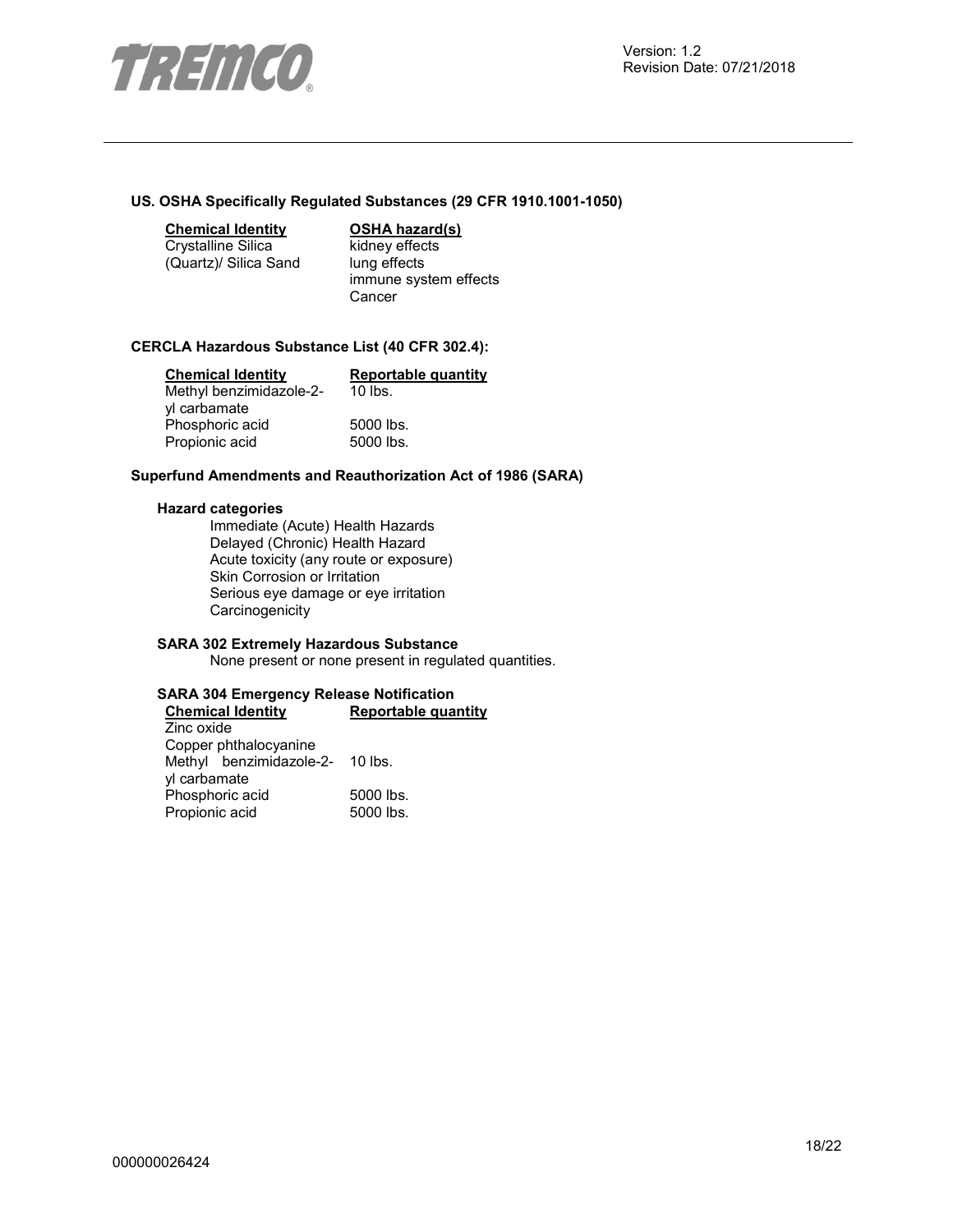

#### **US. OSHA Specifically Regulated Substances (29 CFR 1910.1001-1050)**

**Chemical Identity OSHA hazard(s)** 

Crystalline Silica (Quartz)/ Silica Sand kidney effects lung effects immune system effects **Cancer** 

#### **CERCLA Hazardous Substance List (40 CFR 302.4):**

| <b>Chemical Identity</b> | <b>Reportable quantity</b> |
|--------------------------|----------------------------|
| Methyl benzimidazole-2-  | $10$ lbs.                  |
| yl carbamate             |                            |
| Phosphoric acid          | 5000 lbs.                  |
| Propionic acid           | 5000 lbs.                  |

#### **Superfund Amendments and Reauthorization Act of 1986 (SARA)**

#### **Hazard categories**

Immediate (Acute) Health Hazards Delayed (Chronic) Health Hazard Acute toxicity (any route or exposure) Skin Corrosion or Irritation Serious eye damage or eye irritation **Carcinogenicity** 

# **SARA 302 Extremely Hazardous Substance**

None present or none present in regulated quantities.

#### **SARA 304 Emergency Release Notification Reportable quantity**

Zinc oxide Copper phthalocyanine Methyl benzimidazole-2- 10 lbs. yl carbamate Phosphoric acid 5000 lbs.<br>Propionic acid 5000 lbs. Propionic acid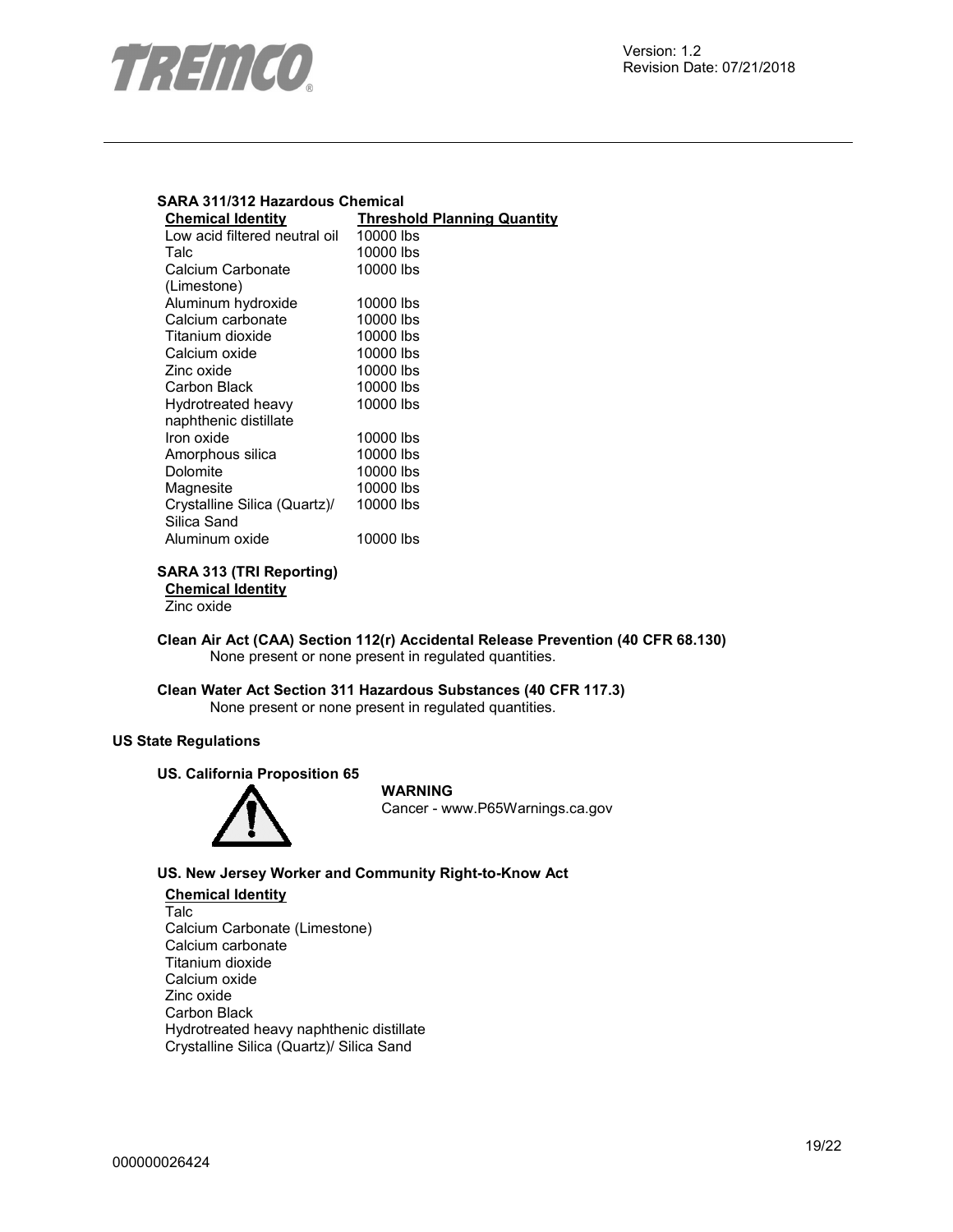

# **SARA 311/312 Hazardous Chemical**

| <b>Chemical Identity</b>      | <b>Threshold Planning Quantity</b> |
|-------------------------------|------------------------------------|
| Low acid filtered neutral oil | 10000 lbs                          |
| Talc                          | 10000 lbs                          |
| Calcium Carbonate             | 10000 lbs                          |
| (Limestone)                   |                                    |
| Aluminum hydroxide            | 10000 lbs                          |
| Calcium carbonate             | 10000 lbs                          |
| Titanium dioxide              | 10000 lbs                          |
| Calcium oxide                 | 10000 lbs                          |
| Zinc oxide                    | 10000 lbs                          |
| Carbon Black                  | 10000 lbs                          |
| Hydrotreated heavy            | 10000 lbs                          |
| naphthenic distillate         |                                    |
| Iron oxide                    | 10000 lbs                          |
| Amorphous silica              | 10000 lbs                          |
| Dolomite                      | 10000 lbs                          |
| Magnesite                     | 10000 lbs                          |
| Crystalline Silica (Quartz)/  | 10000 lbs                          |
| Silica Sand                   |                                    |
| Aluminum oxide                | 10000 lbs                          |
|                               |                                    |

# **SARA 313 (TRI Reporting)**

**Chemical Identity**

Zinc oxide

**Clean Air Act (CAA) Section 112(r) Accidental Release Prevention (40 CFR 68.130)**  None present or none present in regulated quantities.

# **Clean Water Act Section 311 Hazardous Substances (40 CFR 117.3)**  None present or none present in regulated quantities.

# **US State Regulations**

# **US. California Proposition 65**



# **WARNING** Cancer - www.P65Warnings.ca.gov

# **US. New Jersey Worker and Community Right-to-Know Act**

**Chemical Identity** Talc Calcium Carbonate (Limestone) Calcium carbonate Titanium dioxide Calcium oxide Zinc oxide Carbon Black Hydrotreated heavy naphthenic distillate Crystalline Silica (Quartz)/ Silica Sand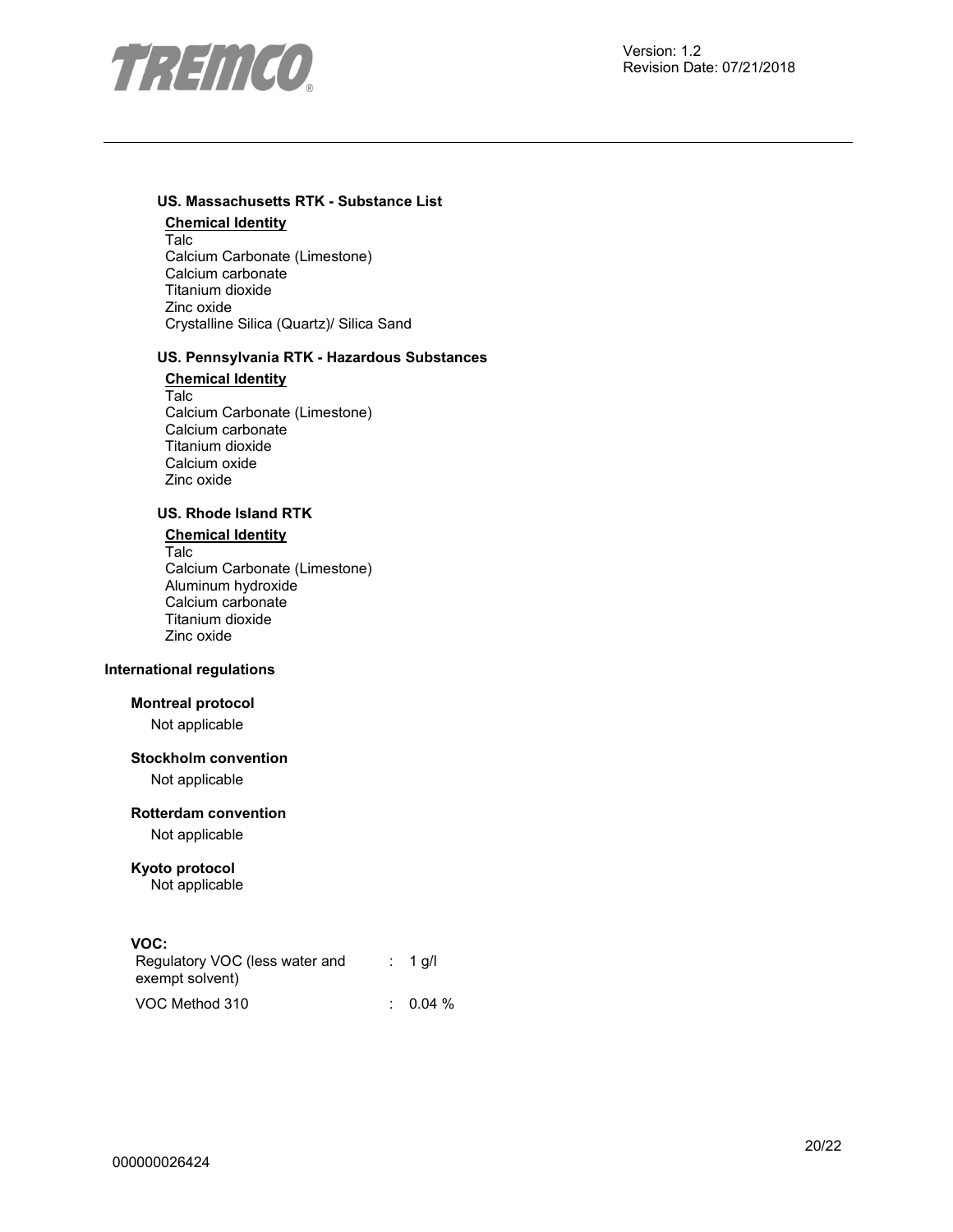

# **US. Massachusetts RTK - Substance List**

**Chemical Identity** Talc Calcium Carbonate (Limestone) Calcium carbonate Titanium dioxide Zinc oxide Crystalline Silica (Quartz)/ Silica Sand

# **US. Pennsylvania RTK - Hazardous Substances**

**Chemical Identity** Talc Calcium Carbonate (Limestone) Calcium carbonate Titanium dioxide Calcium oxide Zinc oxide

# **US. Rhode Island RTK**

**Chemical Identity** Talc Calcium Carbonate (Limestone) Aluminum hydroxide Calcium carbonate Titanium dioxide Zinc oxide

# **International regulations**

# **Montreal protocol**

Not applicable

# **Stockholm convention**

Not applicable

#### **Rotterdam convention**

Not applicable

# **Kyoto protocol**

Not applicable

# **VOC:**

| Regulatory VOC (less water and<br>exempt solvent) | $: 1$ q/l |
|---------------------------------------------------|-----------|
| VOC Method 310                                    | $0.04\%$  |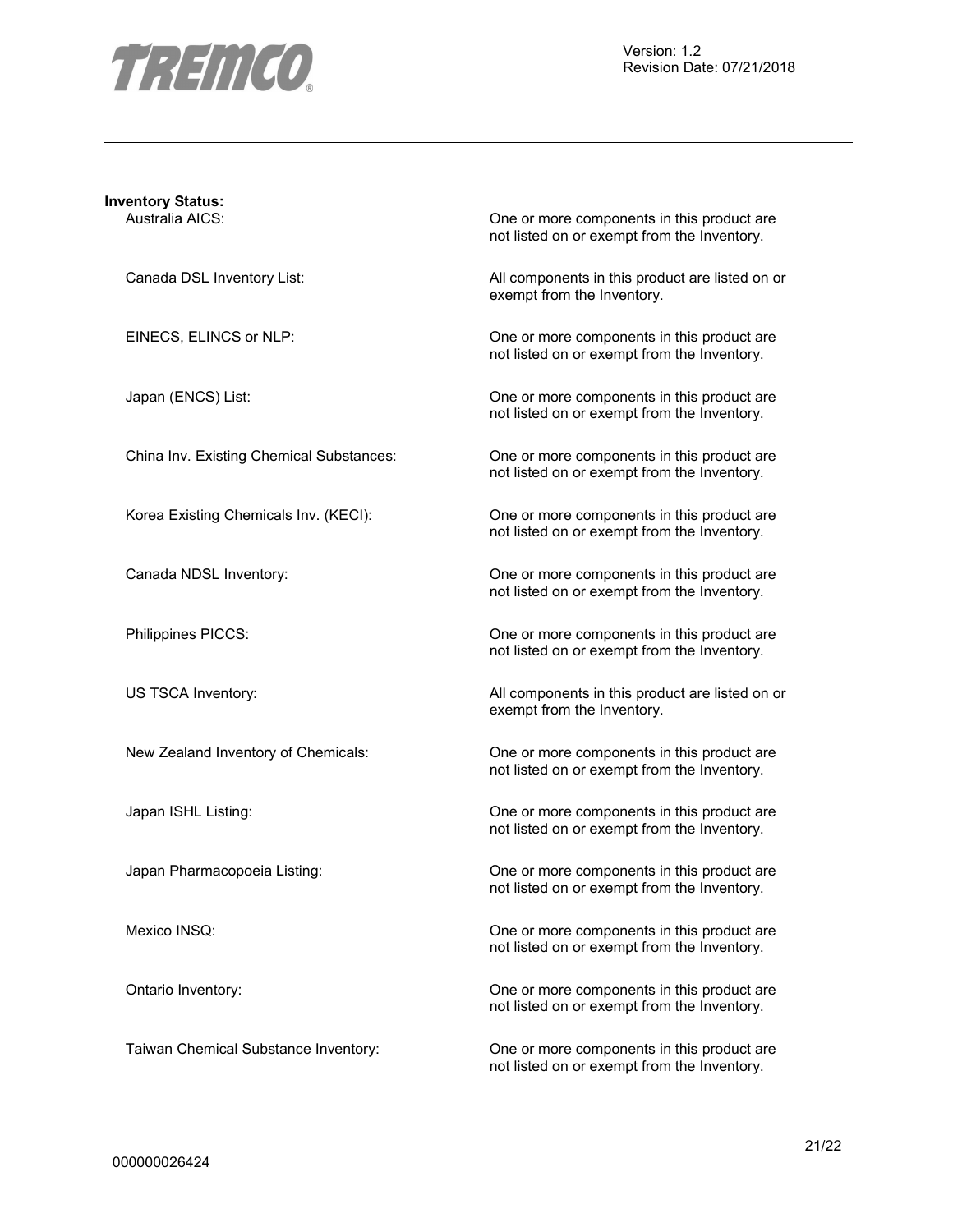

| <b>Inventory Status:</b>                 |                                                                                           |
|------------------------------------------|-------------------------------------------------------------------------------------------|
| Australia AICS:                          | One or more components in this product are<br>not listed on or exempt from the Inventory. |
| Canada DSL Inventory List:               | All components in this product are listed on or<br>exempt from the Inventory.             |
| EINECS, ELINCS or NLP:                   | One or more components in this product are<br>not listed on or exempt from the Inventory. |
| Japan (ENCS) List:                       | One or more components in this product are<br>not listed on or exempt from the Inventory. |
| China Inv. Existing Chemical Substances: | One or more components in this product are<br>not listed on or exempt from the Inventory. |
| Korea Existing Chemicals Inv. (KECI):    | One or more components in this product are<br>not listed on or exempt from the Inventory. |
| Canada NDSL Inventory:                   | One or more components in this product are<br>not listed on or exempt from the Inventory. |
| Philippines PICCS:                       | One or more components in this product are<br>not listed on or exempt from the Inventory. |
| US TSCA Inventory:                       | All components in this product are listed on or<br>exempt from the Inventory.             |
| New Zealand Inventory of Chemicals:      | One or more components in this product are<br>not listed on or exempt from the Inventory. |
| Japan ISHL Listing:                      | One or more components in this product are<br>not listed on or exempt from the Inventory. |
| Japan Pharmacopoeia Listing:             | One or more components in this product are<br>not listed on or exempt from the Inventory. |
| Mexico INSQ:                             | One or more components in this product are<br>not listed on or exempt from the Inventory. |
| Ontario Inventory:                       | One or more components in this product are<br>not listed on or exempt from the Inventory. |
| Taiwan Chemical Substance Inventory:     | One or more components in this product are                                                |

not listed on or exempt from the Inventory.